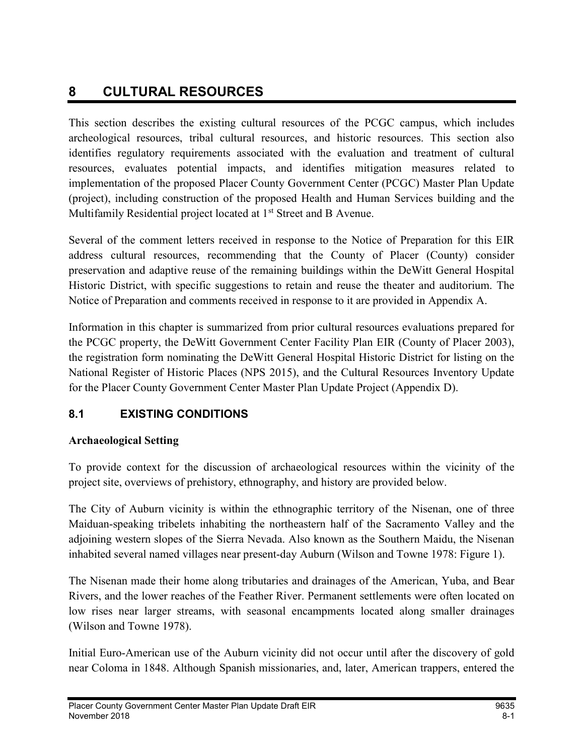# 8 CULTURAL RESOURCES

This section describes the existing cultural resources of the PCGC campus, which includes archeological resources, tribal cultural resources, and historic resources. This section also identifies regulatory requirements associated with the evaluation and treatment of cultural resources, evaluates potential impacts, and identifies mitigation measures related to implementation of the proposed Placer County Government Center (PCGC) Master Plan Update (project), including construction of the proposed Health and Human Services building and the Multifamily Residential project located at 1<sup>st</sup> Street and B Avenue.

Several of the comment letters received in response to the Notice of Preparation for this EIR address cultural resources, recommending that the County of Placer (County) consider preservation and adaptive reuse of the remaining buildings within the DeWitt General Hospital Historic District, with specific suggestions to retain and reuse the theater and auditorium. The Notice of Preparation and comments received in response to it are provided in Appendix A.

Information in this chapter is summarized from prior cultural resources evaluations prepared for the PCGC property, the DeWitt Government Center Facility Plan EIR (County of Placer 2003), the registration form nominating the DeWitt General Hospital Historic District for listing on the National Register of Historic Places (NPS 2015), and the Cultural Resources Inventory Update for the Placer County Government Center Master Plan Update Project (Appendix D).

## 8.1 EXISTING CONDITIONS

## Archaeological Setting

To provide context for the discussion of archaeological resources within the vicinity of the project site, overviews of prehistory, ethnography, and history are provided below.

The City of Auburn vicinity is within the ethnographic territory of the Nisenan, one of three Maiduan-speaking tribelets inhabiting the northeastern half of the Sacramento Valley and the adjoining western slopes of the Sierra Nevada. Also known as the Southern Maidu, the Nisenan inhabited several named villages near present-day Auburn (Wilson and Towne 1978: Figure 1).

The Nisenan made their home along tributaries and drainages of the American, Yuba, and Bear Rivers, and the lower reaches of the Feather River. Permanent settlements were often located on low rises near larger streams, with seasonal encampments located along smaller drainages (Wilson and Towne 1978).

Initial Euro-American use of the Auburn vicinity did not occur until after the discovery of gold near Coloma in 1848. Although Spanish missionaries, and, later, American trappers, entered the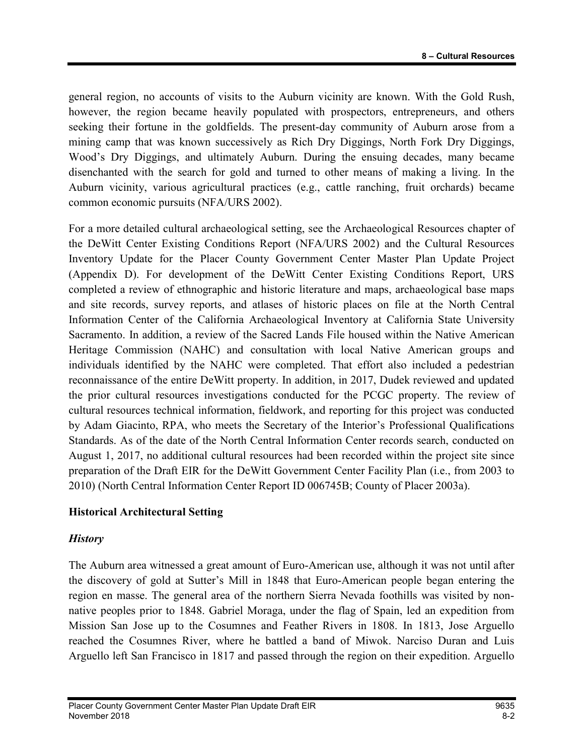general region, no accounts of visits to the Auburn vicinity are known. With the Gold Rush, however, the region became heavily populated with prospectors, entrepreneurs, and others seeking their fortune in the goldfields. The present-day community of Auburn arose from a mining camp that was known successively as Rich Dry Diggings, North Fork Dry Diggings, Wood's Dry Diggings, and ultimately Auburn. During the ensuing decades, many became disenchanted with the search for gold and turned to other means of making a living. In the Auburn vicinity, various agricultural practices (e.g., cattle ranching, fruit orchards) became common economic pursuits (NFA/URS 2002).

For a more detailed cultural archaeological setting, see the Archaeological Resources chapter of the DeWitt Center Existing Conditions Report (NFA/URS 2002) and the Cultural Resources Inventory Update for the Placer County Government Center Master Plan Update Project (Appendix D). For development of the DeWitt Center Existing Conditions Report, URS completed a review of ethnographic and historic literature and maps, archaeological base maps and site records, survey reports, and atlases of historic places on file at the North Central Information Center of the California Archaeological Inventory at California State University Sacramento. In addition, a review of the Sacred Lands File housed within the Native American Heritage Commission (NAHC) and consultation with local Native American groups and individuals identified by the NAHC were completed. That effort also included a pedestrian reconnaissance of the entire DeWitt property. In addition, in 2017, Dudek reviewed and updated the prior cultural resources investigations conducted for the PCGC property. The review of cultural resources technical information, fieldwork, and reporting for this project was conducted by Adam Giacinto, RPA, who meets the Secretary of the Interior's Professional Qualifications Standards. As of the date of the North Central Information Center records search, conducted on August 1, 2017, no additional cultural resources had been recorded within the project site since preparation of the Draft EIR for the DeWitt Government Center Facility Plan (i.e., from 2003 to 2010) (North Central Information Center Report ID 006745B; County of Placer 2003a).

#### Historical Architectural Setting

#### **History**

The Auburn area witnessed a great amount of Euro-American use, although it was not until after the discovery of gold at Sutter's Mill in 1848 that Euro-American people began entering the region en masse. The general area of the northern Sierra Nevada foothills was visited by nonnative peoples prior to 1848. Gabriel Moraga, under the flag of Spain, led an expedition from Mission San Jose up to the Cosumnes and Feather Rivers in 1808. In 1813, Jose Arguello reached the Cosumnes River, where he battled a band of Miwok. Narciso Duran and Luis Arguello left San Francisco in 1817 and passed through the region on their expedition. Arguello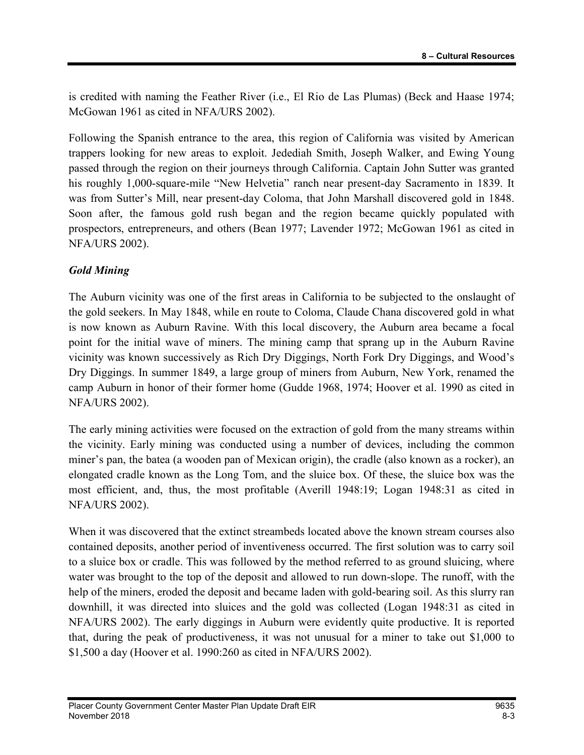is credited with naming the Feather River (i.e., El Rio de Las Plumas) (Beck and Haase 1974; McGowan 1961 as cited in NFA/URS 2002).

Following the Spanish entrance to the area, this region of California was visited by American trappers looking for new areas to exploit. Jedediah Smith, Joseph Walker, and Ewing Young passed through the region on their journeys through California. Captain John Sutter was granted his roughly 1,000-square-mile "New Helvetia" ranch near present-day Sacramento in 1839. It was from Sutter's Mill, near present-day Coloma, that John Marshall discovered gold in 1848. Soon after, the famous gold rush began and the region became quickly populated with prospectors, entrepreneurs, and others (Bean 1977; Lavender 1972; McGowan 1961 as cited in NFA/URS 2002).

#### Gold Mining

The Auburn vicinity was one of the first areas in California to be subjected to the onslaught of the gold seekers. In May 1848, while en route to Coloma, Claude Chana discovered gold in what is now known as Auburn Ravine. With this local discovery, the Auburn area became a focal point for the initial wave of miners. The mining camp that sprang up in the Auburn Ravine vicinity was known successively as Rich Dry Diggings, North Fork Dry Diggings, and Wood's Dry Diggings. In summer 1849, a large group of miners from Auburn, New York, renamed the camp Auburn in honor of their former home (Gudde 1968, 1974; Hoover et al. 1990 as cited in NFA/URS 2002).

The early mining activities were focused on the extraction of gold from the many streams within the vicinity. Early mining was conducted using a number of devices, including the common miner's pan, the batea (a wooden pan of Mexican origin), the cradle (also known as a rocker), an elongated cradle known as the Long Tom, and the sluice box. Of these, the sluice box was the most efficient, and, thus, the most profitable (Averill 1948:19; Logan 1948:31 as cited in NFA/URS 2002).

When it was discovered that the extinct streambeds located above the known stream courses also contained deposits, another period of inventiveness occurred. The first solution was to carry soil to a sluice box or cradle. This was followed by the method referred to as ground sluicing, where water was brought to the top of the deposit and allowed to run down-slope. The runoff, with the help of the miners, eroded the deposit and became laden with gold-bearing soil. As this slurry ran downhill, it was directed into sluices and the gold was collected (Logan 1948:31 as cited in NFA/URS 2002). The early diggings in Auburn were evidently quite productive. It is reported that, during the peak of productiveness, it was not unusual for a miner to take out \$1,000 to \$1,500 a day (Hoover et al. 1990:260 as cited in NFA/URS 2002).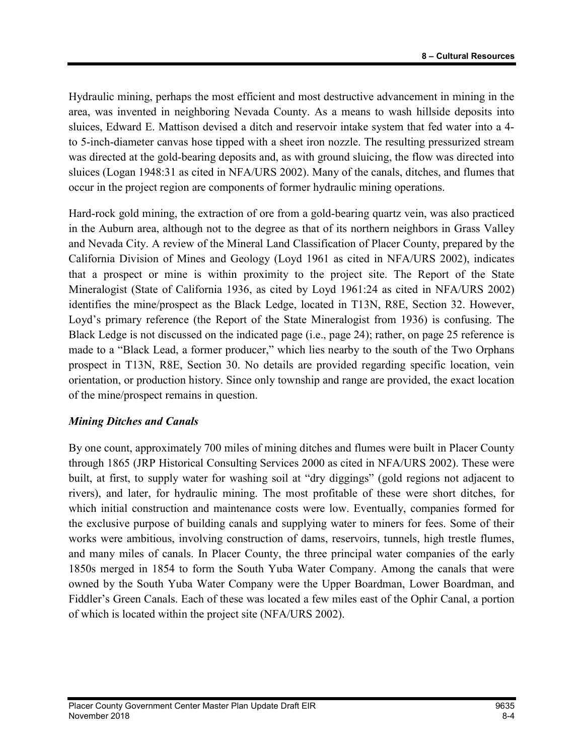Hydraulic mining, perhaps the most efficient and most destructive advancement in mining in the area, was invented in neighboring Nevada County. As a means to wash hillside deposits into sluices, Edward E. Mattison devised a ditch and reservoir intake system that fed water into a 4 to 5-inch-diameter canvas hose tipped with a sheet iron nozzle. The resulting pressurized stream was directed at the gold-bearing deposits and, as with ground sluicing, the flow was directed into sluices (Logan 1948:31 as cited in NFA/URS 2002). Many of the canals, ditches, and flumes that occur in the project region are components of former hydraulic mining operations.

Hard-rock gold mining, the extraction of ore from a gold-bearing quartz vein, was also practiced in the Auburn area, although not to the degree as that of its northern neighbors in Grass Valley and Nevada City. A review of the Mineral Land Classification of Placer County, prepared by the California Division of Mines and Geology (Loyd 1961 as cited in NFA/URS 2002), indicates that a prospect or mine is within proximity to the project site. The Report of the State Mineralogist (State of California 1936, as cited by Loyd 1961:24 as cited in NFA/URS 2002) identifies the mine/prospect as the Black Ledge, located in T13N, R8E, Section 32. However, Loyd's primary reference (the Report of the State Mineralogist from 1936) is confusing. The Black Ledge is not discussed on the indicated page (i.e., page 24); rather, on page 25 reference is made to a "Black Lead, a former producer," which lies nearby to the south of the Two Orphans prospect in T13N, R8E, Section 30. No details are provided regarding specific location, vein orientation, or production history. Since only township and range are provided, the exact location of the mine/prospect remains in question.

### Mining Ditches and Canals

By one count, approximately 700 miles of mining ditches and flumes were built in Placer County through 1865 (JRP Historical Consulting Services 2000 as cited in NFA/URS 2002). These were built, at first, to supply water for washing soil at "dry diggings" (gold regions not adjacent to rivers), and later, for hydraulic mining. The most profitable of these were short ditches, for which initial construction and maintenance costs were low. Eventually, companies formed for the exclusive purpose of building canals and supplying water to miners for fees. Some of their works were ambitious, involving construction of dams, reservoirs, tunnels, high trestle flumes, and many miles of canals. In Placer County, the three principal water companies of the early 1850s merged in 1854 to form the South Yuba Water Company. Among the canals that were owned by the South Yuba Water Company were the Upper Boardman, Lower Boardman, and Fiddler's Green Canals. Each of these was located a few miles east of the Ophir Canal, a portion of which is located within the project site (NFA/URS 2002).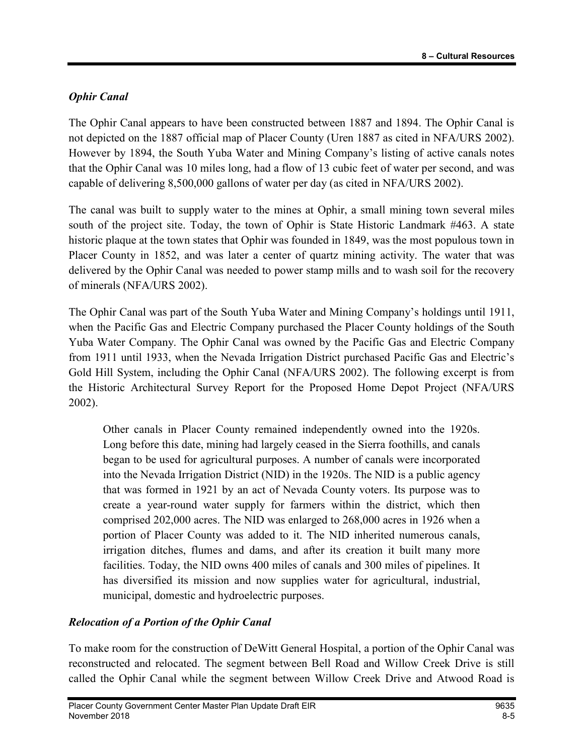## Ophir Canal

The Ophir Canal appears to have been constructed between 1887 and 1894. The Ophir Canal is not depicted on the 1887 official map of Placer County (Uren 1887 as cited in NFA/URS 2002). However by 1894, the South Yuba Water and Mining Company's listing of active canals notes that the Ophir Canal was 10 miles long, had a flow of 13 cubic feet of water per second, and was capable of delivering 8,500,000 gallons of water per day (as cited in NFA/URS 2002).

The canal was built to supply water to the mines at Ophir, a small mining town several miles south of the project site. Today, the town of Ophir is State Historic Landmark #463. A state historic plaque at the town states that Ophir was founded in 1849, was the most populous town in Placer County in 1852, and was later a center of quartz mining activity. The water that was delivered by the Ophir Canal was needed to power stamp mills and to wash soil for the recovery of minerals (NFA/URS 2002).

The Ophir Canal was part of the South Yuba Water and Mining Company's holdings until 1911, when the Pacific Gas and Electric Company purchased the Placer County holdings of the South Yuba Water Company. The Ophir Canal was owned by the Pacific Gas and Electric Company from 1911 until 1933, when the Nevada Irrigation District purchased Pacific Gas and Electric's Gold Hill System, including the Ophir Canal (NFA/URS 2002). The following excerpt is from the Historic Architectural Survey Report for the Proposed Home Depot Project (NFA/URS 2002).

Other canals in Placer County remained independently owned into the 1920s. Long before this date, mining had largely ceased in the Sierra foothills, and canals began to be used for agricultural purposes. A number of canals were incorporated into the Nevada Irrigation District (NID) in the 1920s. The NID is a public agency that was formed in 1921 by an act of Nevada County voters. Its purpose was to create a year-round water supply for farmers within the district, which then comprised 202,000 acres. The NID was enlarged to 268,000 acres in 1926 when a portion of Placer County was added to it. The NID inherited numerous canals, irrigation ditches, flumes and dams, and after its creation it built many more facilities. Today, the NID owns 400 miles of canals and 300 miles of pipelines. It has diversified its mission and now supplies water for agricultural, industrial, municipal, domestic and hydroelectric purposes.

## Relocation of a Portion of the Ophir Canal

To make room for the construction of DeWitt General Hospital, a portion of the Ophir Canal was reconstructed and relocated. The segment between Bell Road and Willow Creek Drive is still called the Ophir Canal while the segment between Willow Creek Drive and Atwood Road is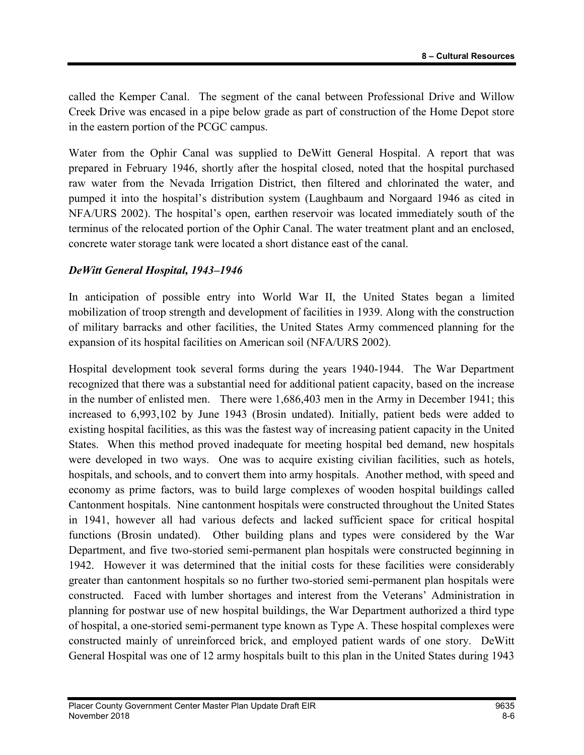called the Kemper Canal. The segment of the canal between Professional Drive and Willow Creek Drive was encased in a pipe below grade as part of construction of the Home Depot store in the eastern portion of the PCGC campus.

Water from the Ophir Canal was supplied to DeWitt General Hospital. A report that was prepared in February 1946, shortly after the hospital closed, noted that the hospital purchased raw water from the Nevada Irrigation District, then filtered and chlorinated the water, and pumped it into the hospital's distribution system (Laughbaum and Norgaard 1946 as cited in NFA/URS 2002). The hospital's open, earthen reservoir was located immediately south of the terminus of the relocated portion of the Ophir Canal. The water treatment plant and an enclosed, concrete water storage tank were located a short distance east of the canal.

#### DeWitt General Hospital, 1943–1946

In anticipation of possible entry into World War II, the United States began a limited mobilization of troop strength and development of facilities in 1939. Along with the construction of military barracks and other facilities, the United States Army commenced planning for the expansion of its hospital facilities on American soil (NFA/URS 2002).

Hospital development took several forms during the years 1940-1944. The War Department recognized that there was a substantial need for additional patient capacity, based on the increase in the number of enlisted men. There were 1,686,403 men in the Army in December 1941; this increased to 6,993,102 by June 1943 (Brosin undated). Initially, patient beds were added to existing hospital facilities, as this was the fastest way of increasing patient capacity in the United States. When this method proved inadequate for meeting hospital bed demand, new hospitals were developed in two ways. One was to acquire existing civilian facilities, such as hotels, hospitals, and schools, and to convert them into army hospitals. Another method, with speed and economy as prime factors, was to build large complexes of wooden hospital buildings called Cantonment hospitals. Nine cantonment hospitals were constructed throughout the United States in 1941, however all had various defects and lacked sufficient space for critical hospital functions (Brosin undated). Other building plans and types were considered by the War Department, and five two-storied semi-permanent plan hospitals were constructed beginning in 1942. However it was determined that the initial costs for these facilities were considerably greater than cantonment hospitals so no further two-storied semi-permanent plan hospitals were constructed. Faced with lumber shortages and interest from the Veterans' Administration in planning for postwar use of new hospital buildings, the War Department authorized a third type of hospital, a one-storied semi-permanent type known as Type A. These hospital complexes were constructed mainly of unreinforced brick, and employed patient wards of one story. DeWitt General Hospital was one of 12 army hospitals built to this plan in the United States during 1943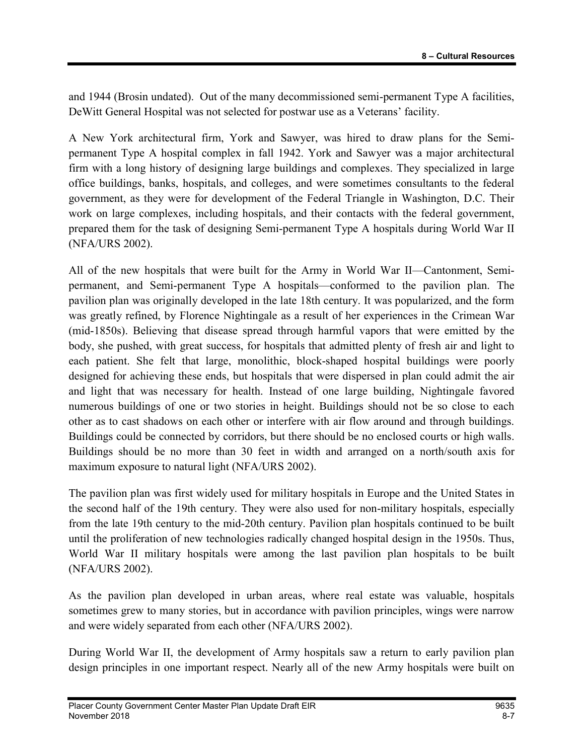and 1944 (Brosin undated). Out of the many decommissioned semi-permanent Type A facilities, DeWitt General Hospital was not selected for postwar use as a Veterans' facility.

A New York architectural firm, York and Sawyer, was hired to draw plans for the Semipermanent Type A hospital complex in fall 1942. York and Sawyer was a major architectural firm with a long history of designing large buildings and complexes. They specialized in large office buildings, banks, hospitals, and colleges, and were sometimes consultants to the federal government, as they were for development of the Federal Triangle in Washington, D.C. Their work on large complexes, including hospitals, and their contacts with the federal government, prepared them for the task of designing Semi-permanent Type A hospitals during World War II (NFA/URS 2002).

All of the new hospitals that were built for the Army in World War II—Cantonment, Semipermanent, and Semi-permanent Type A hospitals—conformed to the pavilion plan. The pavilion plan was originally developed in the late 18th century. It was popularized, and the form was greatly refined, by Florence Nightingale as a result of her experiences in the Crimean War (mid-1850s). Believing that disease spread through harmful vapors that were emitted by the body, she pushed, with great success, for hospitals that admitted plenty of fresh air and light to each patient. She felt that large, monolithic, block-shaped hospital buildings were poorly designed for achieving these ends, but hospitals that were dispersed in plan could admit the air and light that was necessary for health. Instead of one large building, Nightingale favored numerous buildings of one or two stories in height. Buildings should not be so close to each other as to cast shadows on each other or interfere with air flow around and through buildings. Buildings could be connected by corridors, but there should be no enclosed courts or high walls. Buildings should be no more than 30 feet in width and arranged on a north/south axis for maximum exposure to natural light (NFA/URS 2002).

The pavilion plan was first widely used for military hospitals in Europe and the United States in the second half of the 19th century. They were also used for non-military hospitals, especially from the late 19th century to the mid-20th century. Pavilion plan hospitals continued to be built until the proliferation of new technologies radically changed hospital design in the 1950s. Thus, World War II military hospitals were among the last pavilion plan hospitals to be built (NFA/URS 2002).

As the pavilion plan developed in urban areas, where real estate was valuable, hospitals sometimes grew to many stories, but in accordance with pavilion principles, wings were narrow and were widely separated from each other (NFA/URS 2002).

During World War II, the development of Army hospitals saw a return to early pavilion plan design principles in one important respect. Nearly all of the new Army hospitals were built on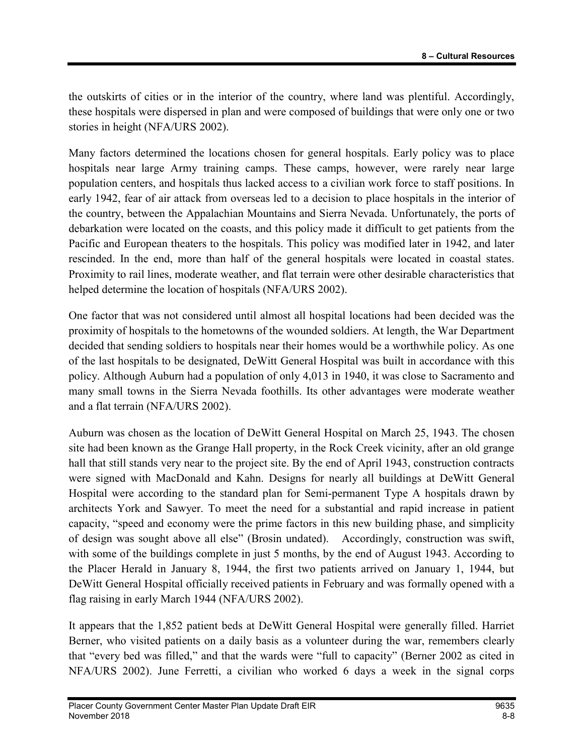the outskirts of cities or in the interior of the country, where land was plentiful. Accordingly, these hospitals were dispersed in plan and were composed of buildings that were only one or two stories in height (NFA/URS 2002).

Many factors determined the locations chosen for general hospitals. Early policy was to place hospitals near large Army training camps. These camps, however, were rarely near large population centers, and hospitals thus lacked access to a civilian work force to staff positions. In early 1942, fear of air attack from overseas led to a decision to place hospitals in the interior of the country, between the Appalachian Mountains and Sierra Nevada. Unfortunately, the ports of debarkation were located on the coasts, and this policy made it difficult to get patients from the Pacific and European theaters to the hospitals. This policy was modified later in 1942, and later rescinded. In the end, more than half of the general hospitals were located in coastal states. Proximity to rail lines, moderate weather, and flat terrain were other desirable characteristics that helped determine the location of hospitals (NFA/URS 2002).

One factor that was not considered until almost all hospital locations had been decided was the proximity of hospitals to the hometowns of the wounded soldiers. At length, the War Department decided that sending soldiers to hospitals near their homes would be a worthwhile policy. As one of the last hospitals to be designated, DeWitt General Hospital was built in accordance with this policy. Although Auburn had a population of only 4,013 in 1940, it was close to Sacramento and many small towns in the Sierra Nevada foothills. Its other advantages were moderate weather and a flat terrain (NFA/URS 2002).

Auburn was chosen as the location of DeWitt General Hospital on March 25, 1943. The chosen site had been known as the Grange Hall property, in the Rock Creek vicinity, after an old grange hall that still stands very near to the project site. By the end of April 1943, construction contracts were signed with MacDonald and Kahn. Designs for nearly all buildings at DeWitt General Hospital were according to the standard plan for Semi-permanent Type A hospitals drawn by architects York and Sawyer. To meet the need for a substantial and rapid increase in patient capacity, "speed and economy were the prime factors in this new building phase, and simplicity of design was sought above all else" (Brosin undated). Accordingly, construction was swift, with some of the buildings complete in just 5 months, by the end of August 1943. According to the Placer Herald in January 8, 1944, the first two patients arrived on January 1, 1944, but DeWitt General Hospital officially received patients in February and was formally opened with a flag raising in early March 1944 (NFA/URS 2002).

It appears that the 1,852 patient beds at DeWitt General Hospital were generally filled. Harriet Berner, who visited patients on a daily basis as a volunteer during the war, remembers clearly that "every bed was filled," and that the wards were "full to capacity" (Berner 2002 as cited in NFA/URS 2002). June Ferretti, a civilian who worked 6 days a week in the signal corps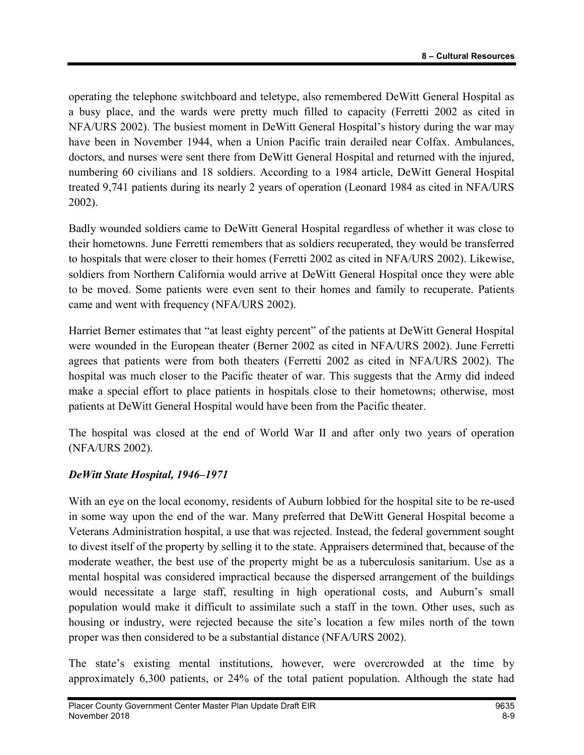operating the telephone switchboard and teletype, also remembered DeWitt General Hospital as a busy place, and the wards were pretty much filled to capacity (Ferretti 2002 as cited in NFA/URS 2002). The busiest moment in DeWitt General Hospital's history during the war may have been in November 1944, when a Union Pacific train derailed near Colfax. Ambulances, doctors, and nurses were sent there from DeWitt General Hospital and returned with the injured, numbering 60 civilians and 18 soldiers. According to a 1984 article, DeWitt General Hospital treated 9,741 patients during its nearly 2 years of operation (Leonard 1984 as cited in NFA/URS 2002).

Badly wounded soldiers came to DeWitt General Hospital regardless of whether it was close to their hometowns. June Ferretti remembers that as soldiers recuperated, they would be transferred to hospitals that were closer to their homes (Ferretti 2002 as cited in NFA/URS 2002). Likewise, soldiers from Northern California would arrive at DeWitt General Hospital once they were able to be moved. Some patients were even sent to their homes and family to recuperate. Patients came and went with frequency (NFA/URS 2002).

Harriet Berner estimates that "at least eighty percent" of the patients at DeWitt General Hospital were wounded in the European theater (Berner 2002 as cited in NFA/URS 2002). June Ferretti agrees that patients were from both theaters (Ferretti 2002 as cited in NFA/URS 2002). The hospital was much closer to the Pacific theater of war. This suggests that the Army did indeed make a special effort to place patients in hospitals close to their hometowns; otherwise, most patients at DeWitt General Hospital would have been from the Pacific theater.

The hospital was closed at the end of World War II and after only two years of operation (NFA/URS 2002).

### DeWitt State Hospital, 1946–1971

With an eye on the local economy, residents of Auburn lobbied for the hospital site to be re-used in some way upon the end of the war. Many preferred that DeWitt General Hospital become a Veterans Administration hospital, a use that was rejected. Instead, the federal government sought to divest itself of the property by selling it to the state. Appraisers determined that, because of the moderate weather, the best use of the property might be as a tuberculosis sanitarium. Use as a mental hospital was considered impractical because the dispersed arrangement of the buildings would necessitate a large staff, resulting in high operational costs, and Auburn's small population would make it difficult to assimilate such a staff in the town. Other uses, such as housing or industry, were rejected because the site's location a few miles north of the town proper was then considered to be a substantial distance (NFA/URS 2002).

The state's existing mental institutions, however, were overcrowded at the time by approximately 6,300 patients, or 24% of the total patient population. Although the state had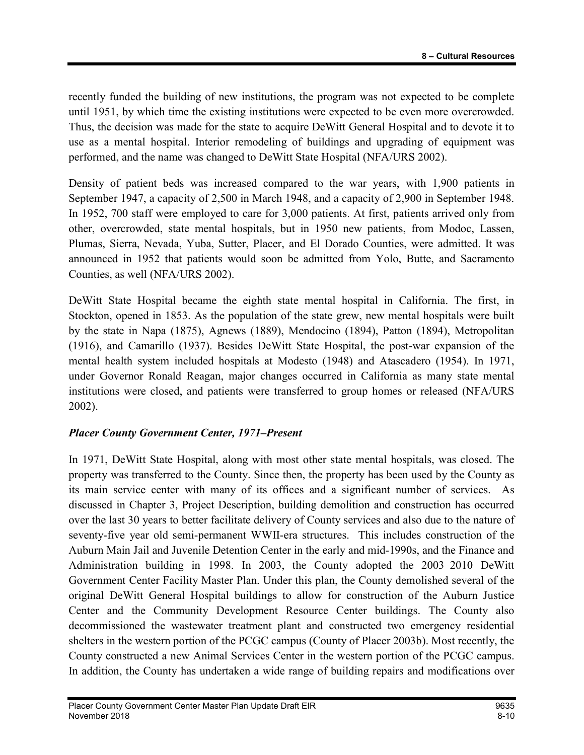recently funded the building of new institutions, the program was not expected to be complete until 1951, by which time the existing institutions were expected to be even more overcrowded. Thus, the decision was made for the state to acquire DeWitt General Hospital and to devote it to use as a mental hospital. Interior remodeling of buildings and upgrading of equipment was performed, and the name was changed to DeWitt State Hospital (NFA/URS 2002).

Density of patient beds was increased compared to the war years, with 1,900 patients in September 1947, a capacity of 2,500 in March 1948, and a capacity of 2,900 in September 1948. In 1952, 700 staff were employed to care for 3,000 patients. At first, patients arrived only from other, overcrowded, state mental hospitals, but in 1950 new patients, from Modoc, Lassen, Plumas, Sierra, Nevada, Yuba, Sutter, Placer, and El Dorado Counties, were admitted. It was announced in 1952 that patients would soon be admitted from Yolo, Butte, and Sacramento Counties, as well (NFA/URS 2002).

DeWitt State Hospital became the eighth state mental hospital in California. The first, in Stockton, opened in 1853. As the population of the state grew, new mental hospitals were built by the state in Napa (1875), Agnews (1889), Mendocino (1894), Patton (1894), Metropolitan (1916), and Camarillo (1937). Besides DeWitt State Hospital, the post-war expansion of the mental health system included hospitals at Modesto (1948) and Atascadero (1954). In 1971, under Governor Ronald Reagan, major changes occurred in California as many state mental institutions were closed, and patients were transferred to group homes or released (NFA/URS 2002).

### Placer County Government Center, 1971–Present

In 1971, DeWitt State Hospital, along with most other state mental hospitals, was closed. The property was transferred to the County. Since then, the property has been used by the County as its main service center with many of its offices and a significant number of services. As discussed in Chapter 3, Project Description, building demolition and construction has occurred over the last 30 years to better facilitate delivery of County services and also due to the nature of seventy-five year old semi-permanent WWII-era structures. This includes construction of the Auburn Main Jail and Juvenile Detention Center in the early and mid-1990s, and the Finance and Administration building in 1998. In 2003, the County adopted the 2003–2010 DeWitt Government Center Facility Master Plan. Under this plan, the County demolished several of the original DeWitt General Hospital buildings to allow for construction of the Auburn Justice Center and the Community Development Resource Center buildings. The County also decommissioned the wastewater treatment plant and constructed two emergency residential shelters in the western portion of the PCGC campus (County of Placer 2003b). Most recently, the County constructed a new Animal Services Center in the western portion of the PCGC campus. In addition, the County has undertaken a wide range of building repairs and modifications over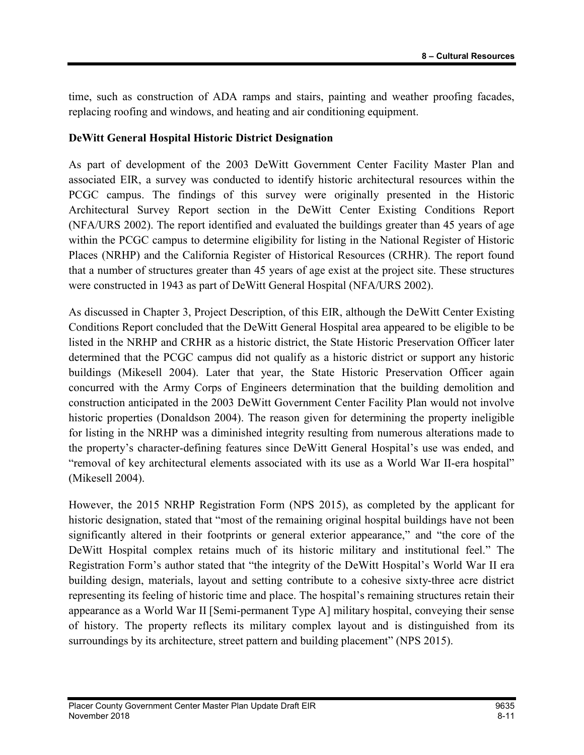time, such as construction of ADA ramps and stairs, painting and weather proofing facades, replacing roofing and windows, and heating and air conditioning equipment.

#### DeWitt General Hospital Historic District Designation

As part of development of the 2003 DeWitt Government Center Facility Master Plan and associated EIR, a survey was conducted to identify historic architectural resources within the PCGC campus. The findings of this survey were originally presented in the Historic Architectural Survey Report section in the DeWitt Center Existing Conditions Report (NFA/URS 2002). The report identified and evaluated the buildings greater than 45 years of age within the PCGC campus to determine eligibility for listing in the National Register of Historic Places (NRHP) and the California Register of Historical Resources (CRHR). The report found that a number of structures greater than 45 years of age exist at the project site. These structures were constructed in 1943 as part of DeWitt General Hospital (NFA/URS 2002).

As discussed in Chapter 3, Project Description, of this EIR, although the DeWitt Center Existing Conditions Report concluded that the DeWitt General Hospital area appeared to be eligible to be listed in the NRHP and CRHR as a historic district, the State Historic Preservation Officer later determined that the PCGC campus did not qualify as a historic district or support any historic buildings (Mikesell 2004). Later that year, the State Historic Preservation Officer again concurred with the Army Corps of Engineers determination that the building demolition and construction anticipated in the 2003 DeWitt Government Center Facility Plan would not involve historic properties (Donaldson 2004). The reason given for determining the property ineligible for listing in the NRHP was a diminished integrity resulting from numerous alterations made to the property's character-defining features since DeWitt General Hospital's use was ended, and "removal of key architectural elements associated with its use as a World War II-era hospital" (Mikesell 2004).

However, the 2015 NRHP Registration Form (NPS 2015), as completed by the applicant for historic designation, stated that "most of the remaining original hospital buildings have not been significantly altered in their footprints or general exterior appearance," and "the core of the DeWitt Hospital complex retains much of its historic military and institutional feel." The Registration Form's author stated that "the integrity of the DeWitt Hospital's World War II era building design, materials, layout and setting contribute to a cohesive sixty-three acre district representing its feeling of historic time and place. The hospital's remaining structures retain their appearance as a World War II [Semi-permanent Type A] military hospital, conveying their sense of history. The property reflects its military complex layout and is distinguished from its surroundings by its architecture, street pattern and building placement" (NPS 2015).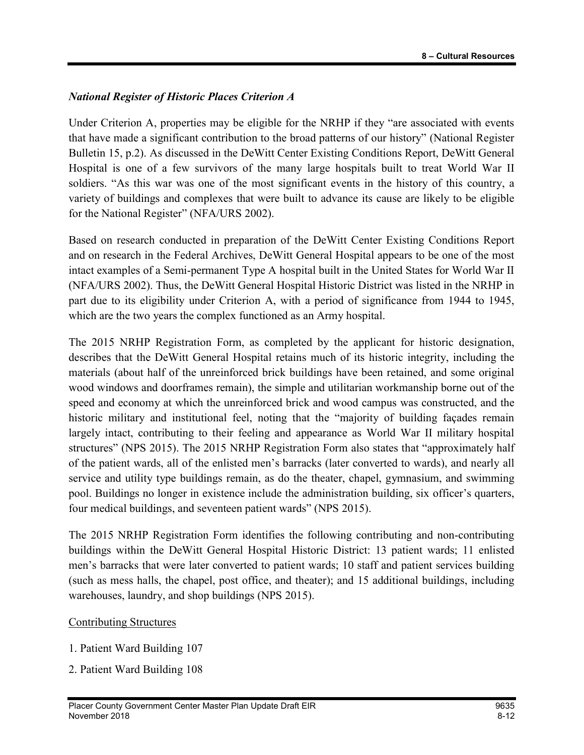### National Register of Historic Places Criterion A

Under Criterion A, properties may be eligible for the NRHP if they "are associated with events that have made a significant contribution to the broad patterns of our history" (National Register Bulletin 15, p.2). As discussed in the DeWitt Center Existing Conditions Report, DeWitt General Hospital is one of a few survivors of the many large hospitals built to treat World War II soldiers. "As this war was one of the most significant events in the history of this country, a variety of buildings and complexes that were built to advance its cause are likely to be eligible for the National Register" (NFA/URS 2002).

Based on research conducted in preparation of the DeWitt Center Existing Conditions Report and on research in the Federal Archives, DeWitt General Hospital appears to be one of the most intact examples of a Semi-permanent Type A hospital built in the United States for World War II (NFA/URS 2002). Thus, the DeWitt General Hospital Historic District was listed in the NRHP in part due to its eligibility under Criterion A, with a period of significance from 1944 to 1945, which are the two years the complex functioned as an Army hospital.

The 2015 NRHP Registration Form, as completed by the applicant for historic designation, describes that the DeWitt General Hospital retains much of its historic integrity, including the materials (about half of the unreinforced brick buildings have been retained, and some original wood windows and doorframes remain), the simple and utilitarian workmanship borne out of the speed and economy at which the unreinforced brick and wood campus was constructed, and the historic military and institutional feel, noting that the "majority of building façades remain largely intact, contributing to their feeling and appearance as World War II military hospital structures" (NPS 2015). The 2015 NRHP Registration Form also states that "approximately half of the patient wards, all of the enlisted men's barracks (later converted to wards), and nearly all service and utility type buildings remain, as do the theater, chapel, gymnasium, and swimming pool. Buildings no longer in existence include the administration building, six officer's quarters, four medical buildings, and seventeen patient wards" (NPS 2015).

The 2015 NRHP Registration Form identifies the following contributing and non-contributing buildings within the DeWitt General Hospital Historic District: 13 patient wards; 11 enlisted men's barracks that were later converted to patient wards; 10 staff and patient services building (such as mess halls, the chapel, post office, and theater); and 15 additional buildings, including warehouses, laundry, and shop buildings (NPS 2015).

#### Contributing Structures

- 1. Patient Ward Building 107
- 2. Patient Ward Building 108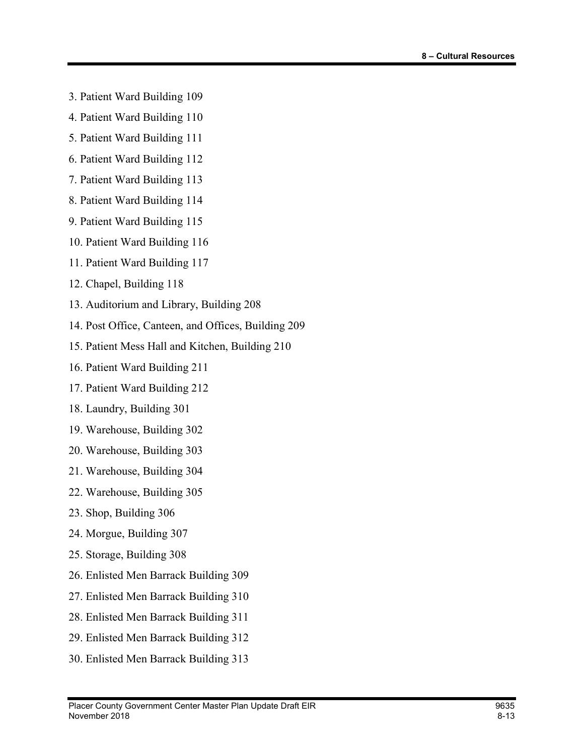- 3. Patient Ward Building 109
- 4. Patient Ward Building 110
- 5. Patient Ward Building 111
- 6. Patient Ward Building 112
- 7. Patient Ward Building 113
- 8. Patient Ward Building 114
- 9. Patient Ward Building 115
- 10. Patient Ward Building 116
- 11. Patient Ward Building 117
- 12. Chapel, Building 118
- 13. Auditorium and Library, Building 208
- 14. Post Office, Canteen, and Offices, Building 209
- 15. Patient Mess Hall and Kitchen, Building 210
- 16. Patient Ward Building 211
- 17. Patient Ward Building 212
- 18. Laundry, Building 301
- 19. Warehouse, Building 302
- 20. Warehouse, Building 303
- 21. Warehouse, Building 304
- 22. Warehouse, Building 305
- 23. Shop, Building 306
- 24. Morgue, Building 307
- 25. Storage, Building 308
- 26. Enlisted Men Barrack Building 309
- 27. Enlisted Men Barrack Building 310
- 28. Enlisted Men Barrack Building 311
- 29. Enlisted Men Barrack Building 312
- 30. Enlisted Men Barrack Building 313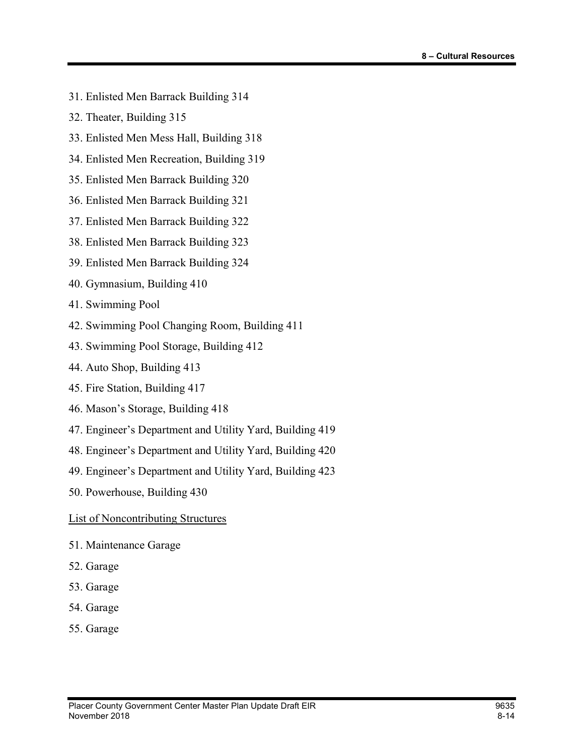- 31. Enlisted Men Barrack Building 314
- 32. Theater, Building 315
- 33. Enlisted Men Mess Hall, Building 318
- 34. Enlisted Men Recreation, Building 319
- 35. Enlisted Men Barrack Building 320
- 36. Enlisted Men Barrack Building 321
- 37. Enlisted Men Barrack Building 322
- 38. Enlisted Men Barrack Building 323
- 39. Enlisted Men Barrack Building 324
- 40. Gymnasium, Building 410
- 41. Swimming Pool
- 42. Swimming Pool Changing Room, Building 411
- 43. Swimming Pool Storage, Building 412
- 44. Auto Shop, Building 413
- 45. Fire Station, Building 417
- 46. Mason's Storage, Building 418
- 47. Engineer's Department and Utility Yard, Building 419
- 48. Engineer's Department and Utility Yard, Building 420
- 49. Engineer's Department and Utility Yard, Building 423
- 50. Powerhouse, Building 430

List of Noncontributing Structures

- 51. Maintenance Garage
- 52. Garage
- 53. Garage
- 54. Garage
- 55. Garage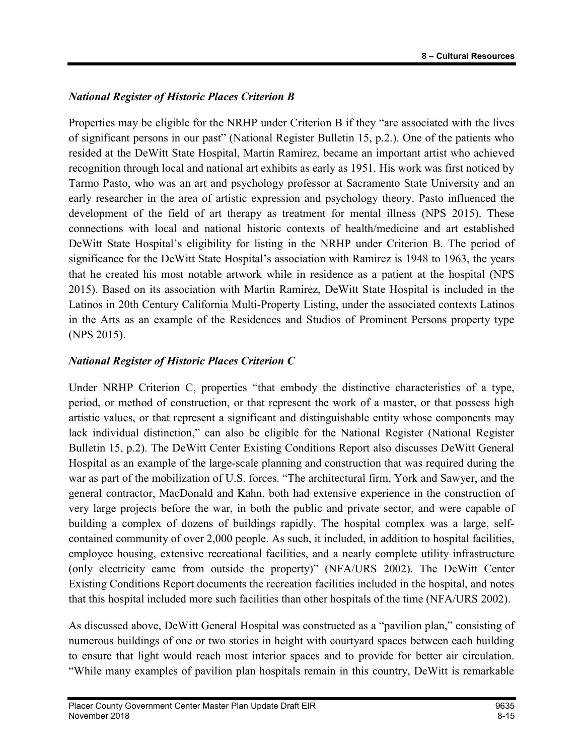### National Register of Historic Places Criterion B

Properties may be eligible for the NRHP under Criterion B if they "are associated with the lives of significant persons in our past" (National Register Bulletin 15, p.2.). One of the patients who resided at the DeWitt State Hospital, Martin Ramirez, became an important artist who achieved recognition through local and national art exhibits as early as 1951. His work was first noticed by Tarmo Pasto, who was an art and psychology professor at Sacramento State University and an early researcher in the area of artistic expression and psychology theory. Pasto influenced the development of the field of art therapy as treatment for mental illness (NPS 2015). These connections with local and national historic contexts of health/medicine and art established DeWitt State Hospital's eligibility for listing in the NRHP under Criterion B. The period of significance for the DeWitt State Hospital's association with Ramirez is 1948 to 1963, the years that he created his most notable artwork while in residence as a patient at the hospital (NPS 2015). Based on its association with Martin Ramirez, DeWitt State Hospital is included in the Latinos in 20th Century California Multi-Property Listing, under the associated contexts Latinos in the Arts as an example of the Residences and Studios of Prominent Persons property type (NPS 2015).

### National Register of Historic Places Criterion C

Under NRHP Criterion C, properties "that embody the distinctive characteristics of a type, period, or method of construction, or that represent the work of a master, or that possess high artistic values, or that represent a significant and distinguishable entity whose components may lack individual distinction," can also be eligible for the National Register (National Register Bulletin 15, p.2). The DeWitt Center Existing Conditions Report also discusses DeWitt General Hospital as an example of the large-scale planning and construction that was required during the war as part of the mobilization of U.S. forces. "The architectural firm, York and Sawyer, and the general contractor, MacDonald and Kahn, both had extensive experience in the construction of very large projects before the war, in both the public and private sector, and were capable of building a complex of dozens of buildings rapidly. The hospital complex was a large, selfcontained community of over 2,000 people. As such, it included, in addition to hospital facilities, employee housing, extensive recreational facilities, and a nearly complete utility infrastructure (only electricity came from outside the property)" (NFA/URS 2002). The DeWitt Center Existing Conditions Report documents the recreation facilities included in the hospital, and notes that this hospital included more such facilities than other hospitals of the time (NFA/URS 2002).

As discussed above, DeWitt General Hospital was constructed as a "pavilion plan," consisting of numerous buildings of one or two stories in height with courtyard spaces between each building to ensure that light would reach most interior spaces and to provide for better air circulation. "While many examples of pavilion plan hospitals remain in this country, DeWitt is remarkable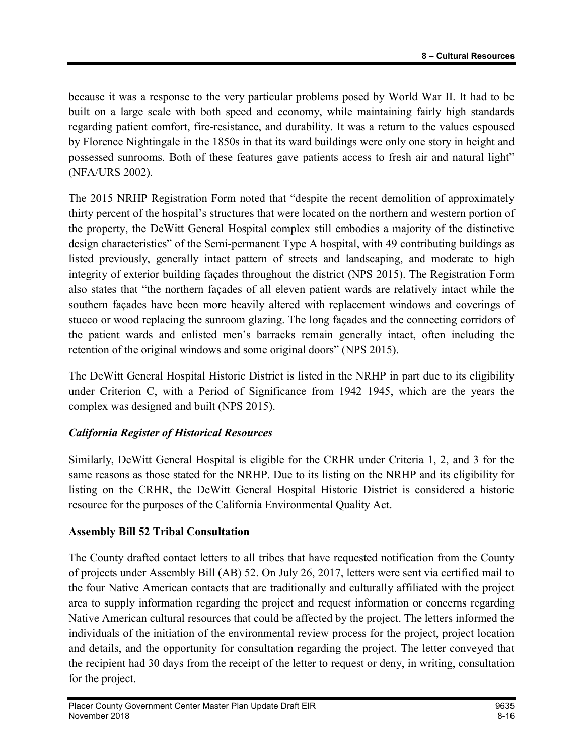because it was a response to the very particular problems posed by World War II. It had to be built on a large scale with both speed and economy, while maintaining fairly high standards regarding patient comfort, fire-resistance, and durability. It was a return to the values espoused by Florence Nightingale in the 1850s in that its ward buildings were only one story in height and possessed sunrooms. Both of these features gave patients access to fresh air and natural light" (NFA/URS 2002).

The 2015 NRHP Registration Form noted that "despite the recent demolition of approximately thirty percent of the hospital's structures that were located on the northern and western portion of the property, the DeWitt General Hospital complex still embodies a majority of the distinctive design characteristics" of the Semi-permanent Type A hospital, with 49 contributing buildings as listed previously, generally intact pattern of streets and landscaping, and moderate to high integrity of exterior building façades throughout the district (NPS 2015). The Registration Form also states that "the northern façades of all eleven patient wards are relatively intact while the southern façades have been more heavily altered with replacement windows and coverings of stucco or wood replacing the sunroom glazing. The long façades and the connecting corridors of the patient wards and enlisted men's barracks remain generally intact, often including the retention of the original windows and some original doors" (NPS 2015).

The DeWitt General Hospital Historic District is listed in the NRHP in part due to its eligibility under Criterion C, with a Period of Significance from 1942–1945, which are the years the complex was designed and built (NPS 2015).

## California Register of Historical Resources

Similarly, DeWitt General Hospital is eligible for the CRHR under Criteria 1, 2, and 3 for the same reasons as those stated for the NRHP. Due to its listing on the NRHP and its eligibility for listing on the CRHR, the DeWitt General Hospital Historic District is considered a historic resource for the purposes of the California Environmental Quality Act.

### Assembly Bill 52 Tribal Consultation

The County drafted contact letters to all tribes that have requested notification from the County of projects under Assembly Bill (AB) 52. On July 26, 2017, letters were sent via certified mail to the four Native American contacts that are traditionally and culturally affiliated with the project area to supply information regarding the project and request information or concerns regarding Native American cultural resources that could be affected by the project. The letters informed the individuals of the initiation of the environmental review process for the project, project location and details, and the opportunity for consultation regarding the project. The letter conveyed that the recipient had 30 days from the receipt of the letter to request or deny, in writing, consultation for the project.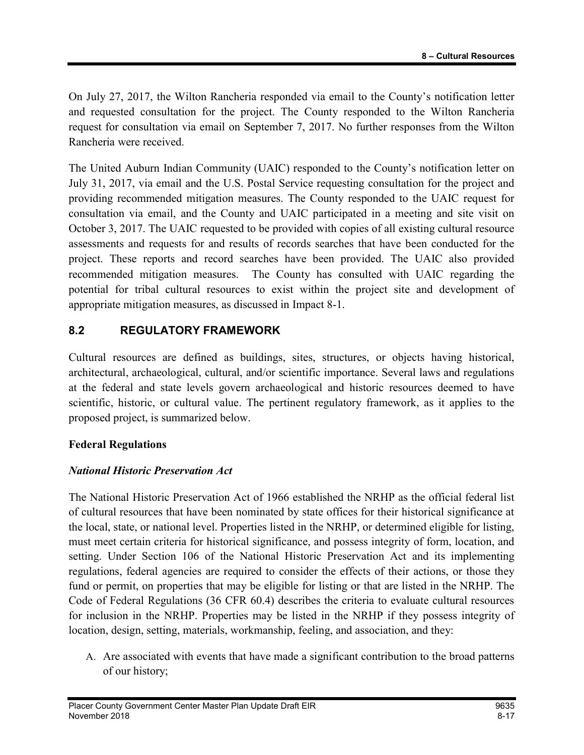On July 27, 2017, the Wilton Rancheria responded via email to the County's notification letter and requested consultation for the project. The County responded to the Wilton Rancheria request for consultation via email on September 7, 2017. No further responses from the Wilton Rancheria were received.

The United Auburn Indian Community (UAIC) responded to the County's notification letter on July 31, 2017, via email and the U.S. Postal Service requesting consultation for the project and providing recommended mitigation measures. The County responded to the UAIC request for consultation via email, and the County and UAIC participated in a meeting and site visit on October 3, 2017. The UAIC requested to be provided with copies of all existing cultural resource assessments and requests for and results of records searches that have been conducted for the project. These reports and record searches have been provided. The UAIC also provided recommended mitigation measures. The County has consulted with UAIC regarding the potential for tribal cultural resources to exist within the project site and development of appropriate mitigation measures, as discussed in Impact 8-1.

### 8.2 REGULATORY FRAMEWORK

Cultural resources are defined as buildings, sites, structures, or objects having historical, architectural, archaeological, cultural, and/or scientific importance. Several laws and regulations at the federal and state levels govern archaeological and historic resources deemed to have scientific, historic, or cultural value. The pertinent regulatory framework, as it applies to the proposed project, is summarized below.

### Federal Regulations

### National Historic Preservation Act

The National Historic Preservation Act of 1966 established the NRHP as the official federal list of cultural resources that have been nominated by state offices for their historical significance at the local, state, or national level. Properties listed in the NRHP, or determined eligible for listing, must meet certain criteria for historical significance, and possess integrity of form, location, and setting. Under Section 106 of the National Historic Preservation Act and its implementing regulations, federal agencies are required to consider the effects of their actions, or those they fund or permit, on properties that may be eligible for listing or that are listed in the NRHP. The Code of Federal Regulations (36 CFR 60.4) describes the criteria to evaluate cultural resources for inclusion in the NRHP. Properties may be listed in the NRHP if they possess integrity of location, design, setting, materials, workmanship, feeling, and association, and they:

A. Are associated with events that have made a significant contribution to the broad patterns of our history;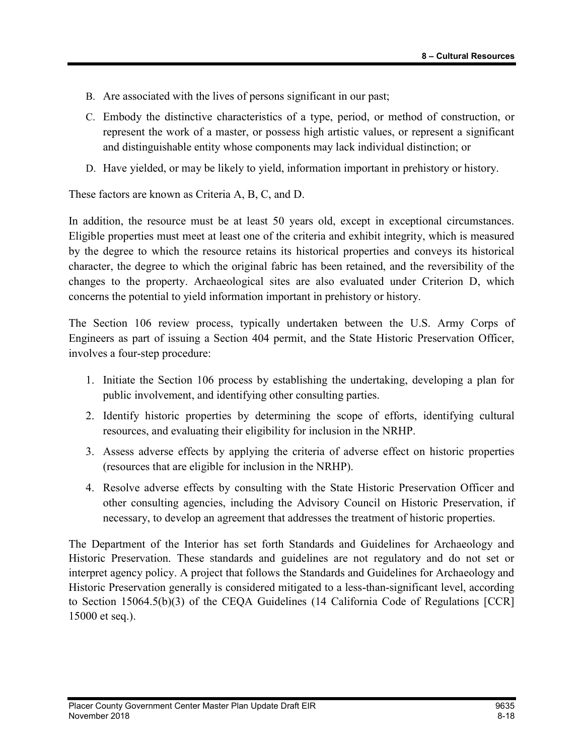- B. Are associated with the lives of persons significant in our past;
- C. Embody the distinctive characteristics of a type, period, or method of construction, or represent the work of a master, or possess high artistic values, or represent a significant and distinguishable entity whose components may lack individual distinction; or
- D. Have yielded, or may be likely to yield, information important in prehistory or history.

These factors are known as Criteria A, B, C, and D.

In addition, the resource must be at least 50 years old, except in exceptional circumstances. Eligible properties must meet at least one of the criteria and exhibit integrity, which is measured by the degree to which the resource retains its historical properties and conveys its historical character, the degree to which the original fabric has been retained, and the reversibility of the changes to the property. Archaeological sites are also evaluated under Criterion D, which concerns the potential to yield information important in prehistory or history.

The Section 106 review process, typically undertaken between the U.S. Army Corps of Engineers as part of issuing a Section 404 permit, and the State Historic Preservation Officer, involves a four-step procedure:

- 1. Initiate the Section 106 process by establishing the undertaking, developing a plan for public involvement, and identifying other consulting parties.
- 2. Identify historic properties by determining the scope of efforts, identifying cultural resources, and evaluating their eligibility for inclusion in the NRHP.
- 3. Assess adverse effects by applying the criteria of adverse effect on historic properties (resources that are eligible for inclusion in the NRHP).
- 4. Resolve adverse effects by consulting with the State Historic Preservation Officer and other consulting agencies, including the Advisory Council on Historic Preservation, if necessary, to develop an agreement that addresses the treatment of historic properties.

The Department of the Interior has set forth Standards and Guidelines for Archaeology and Historic Preservation. These standards and guidelines are not regulatory and do not set or interpret agency policy. A project that follows the Standards and Guidelines for Archaeology and Historic Preservation generally is considered mitigated to a less-than-significant level, according to Section 15064.5(b)(3) of the CEQA Guidelines (14 California Code of Regulations [CCR] 15000 et seq.).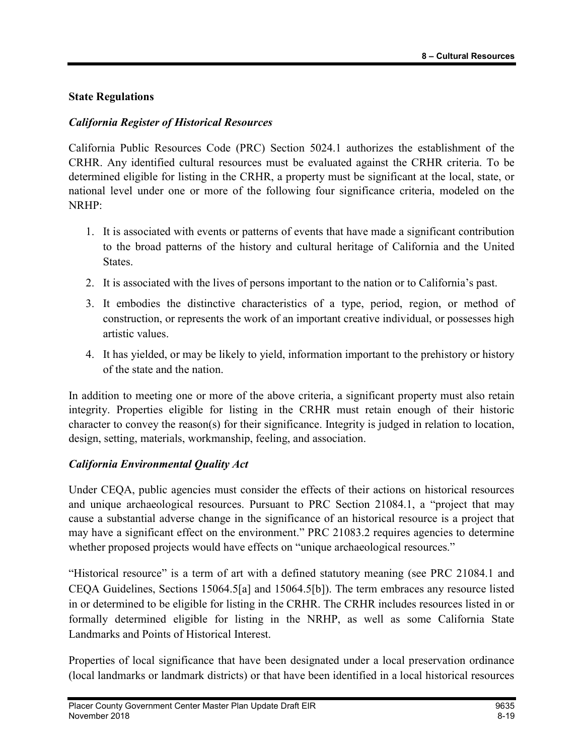#### State Regulations

#### California Register of Historical Resources

California Public Resources Code (PRC) Section 5024.1 authorizes the establishment of the CRHR. Any identified cultural resources must be evaluated against the CRHR criteria. To be determined eligible for listing in the CRHR, a property must be significant at the local, state, or national level under one or more of the following four significance criteria, modeled on the NRHP:

- 1. It is associated with events or patterns of events that have made a significant contribution to the broad patterns of the history and cultural heritage of California and the United States.
- 2. It is associated with the lives of persons important to the nation or to California's past.
- 3. It embodies the distinctive characteristics of a type, period, region, or method of construction, or represents the work of an important creative individual, or possesses high artistic values.
- 4. It has yielded, or may be likely to yield, information important to the prehistory or history of the state and the nation.

In addition to meeting one or more of the above criteria, a significant property must also retain integrity. Properties eligible for listing in the CRHR must retain enough of their historic character to convey the reason(s) for their significance. Integrity is judged in relation to location, design, setting, materials, workmanship, feeling, and association.

### California Environmental Quality Act

Under CEQA, public agencies must consider the effects of their actions on historical resources and unique archaeological resources. Pursuant to PRC Section 21084.1, a "project that may cause a substantial adverse change in the significance of an historical resource is a project that may have a significant effect on the environment." PRC 21083.2 requires agencies to determine whether proposed projects would have effects on "unique archaeological resources."

"Historical resource" is a term of art with a defined statutory meaning (see PRC 21084.1 and CEQA Guidelines, Sections 15064.5[a] and 15064.5[b]). The term embraces any resource listed in or determined to be eligible for listing in the CRHR. The CRHR includes resources listed in or formally determined eligible for listing in the NRHP, as well as some California State Landmarks and Points of Historical Interest.

Properties of local significance that have been designated under a local preservation ordinance (local landmarks or landmark districts) or that have been identified in a local historical resources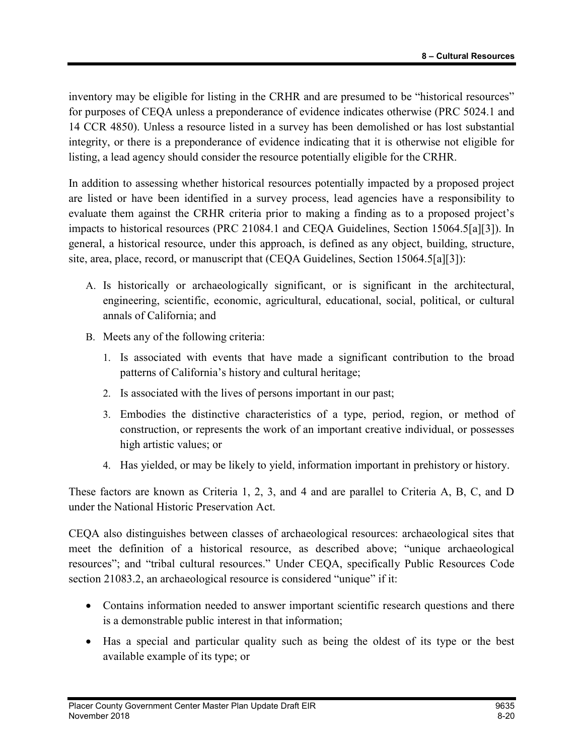inventory may be eligible for listing in the CRHR and are presumed to be "historical resources" for purposes of CEQA unless a preponderance of evidence indicates otherwise (PRC 5024.1 and 14 CCR 4850). Unless a resource listed in a survey has been demolished or has lost substantial integrity, or there is a preponderance of evidence indicating that it is otherwise not eligible for listing, a lead agency should consider the resource potentially eligible for the CRHR.

In addition to assessing whether historical resources potentially impacted by a proposed project are listed or have been identified in a survey process, lead agencies have a responsibility to evaluate them against the CRHR criteria prior to making a finding as to a proposed project's impacts to historical resources (PRC 21084.1 and CEQA Guidelines, Section 15064.5[a][3]). In general, a historical resource, under this approach, is defined as any object, building, structure, site, area, place, record, or manuscript that (CEQA Guidelines, Section 15064.5[a][3]):

- A. Is historically or archaeologically significant, or is significant in the architectural, engineering, scientific, economic, agricultural, educational, social, political, or cultural annals of California; and
- B. Meets any of the following criteria:
	- 1. Is associated with events that have made a significant contribution to the broad patterns of California's history and cultural heritage;
	- 2. Is associated with the lives of persons important in our past;
	- 3. Embodies the distinctive characteristics of a type, period, region, or method of construction, or represents the work of an important creative individual, or possesses high artistic values; or
	- 4. Has yielded, or may be likely to yield, information important in prehistory or history.

These factors are known as Criteria 1, 2, 3, and 4 and are parallel to Criteria A, B, C, and D under the National Historic Preservation Act.

CEQA also distinguishes between classes of archaeological resources: archaeological sites that meet the definition of a historical resource, as described above; "unique archaeological resources"; and "tribal cultural resources." Under CEQA, specifically Public Resources Code section 21083.2, an archaeological resource is considered "unique" if it:

- Contains information needed to answer important scientific research questions and there is a demonstrable public interest in that information;
- Has a special and particular quality such as being the oldest of its type or the best available example of its type; or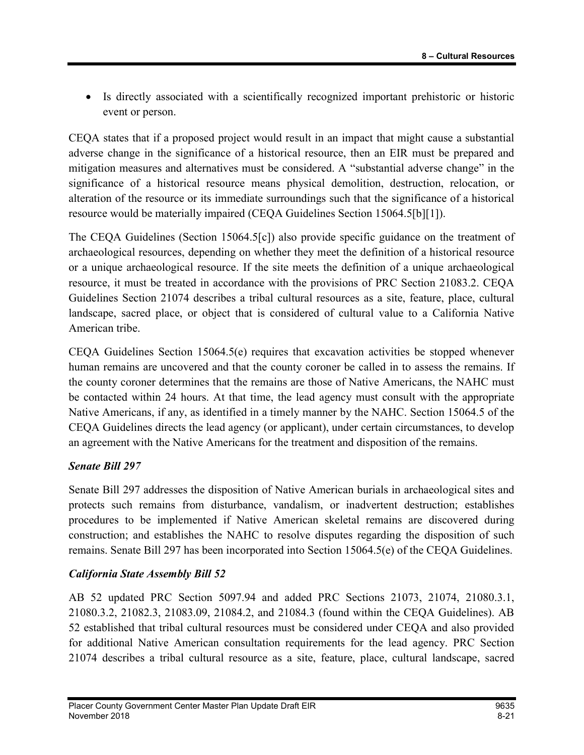Is directly associated with a scientifically recognized important prehistoric or historic event or person.

CEQA states that if a proposed project would result in an impact that might cause a substantial adverse change in the significance of a historical resource, then an EIR must be prepared and mitigation measures and alternatives must be considered. A "substantial adverse change" in the significance of a historical resource means physical demolition, destruction, relocation, or alteration of the resource or its immediate surroundings such that the significance of a historical resource would be materially impaired (CEQA Guidelines Section 15064.5[b][1]).

The CEQA Guidelines (Section 15064.5[c]) also provide specific guidance on the treatment of archaeological resources, depending on whether they meet the definition of a historical resource or a unique archaeological resource. If the site meets the definition of a unique archaeological resource, it must be treated in accordance with the provisions of PRC Section 21083.2. CEQA Guidelines Section 21074 describes a tribal cultural resources as a site, feature, place, cultural landscape, sacred place, or object that is considered of cultural value to a California Native American tribe.

CEQA Guidelines Section 15064.5(e) requires that excavation activities be stopped whenever human remains are uncovered and that the county coroner be called in to assess the remains. If the county coroner determines that the remains are those of Native Americans, the NAHC must be contacted within 24 hours. At that time, the lead agency must consult with the appropriate Native Americans, if any, as identified in a timely manner by the NAHC. Section 15064.5 of the CEQA Guidelines directs the lead agency (or applicant), under certain circumstances, to develop an agreement with the Native Americans for the treatment and disposition of the remains.

### Senate Bill 297

Senate Bill 297 addresses the disposition of Native American burials in archaeological sites and protects such remains from disturbance, vandalism, or inadvertent destruction; establishes procedures to be implemented if Native American skeletal remains are discovered during construction; and establishes the NAHC to resolve disputes regarding the disposition of such remains. Senate Bill 297 has been incorporated into Section 15064.5(e) of the CEQA Guidelines.

#### California State Assembly Bill 52

AB 52 updated PRC Section 5097.94 and added PRC Sections 21073, 21074, 21080.3.1, 21080.3.2, 21082.3, 21083.09, 21084.2, and 21084.3 (found within the CEQA Guidelines). AB 52 established that tribal cultural resources must be considered under CEQA and also provided for additional Native American consultation requirements for the lead agency. PRC Section 21074 describes a tribal cultural resource as a site, feature, place, cultural landscape, sacred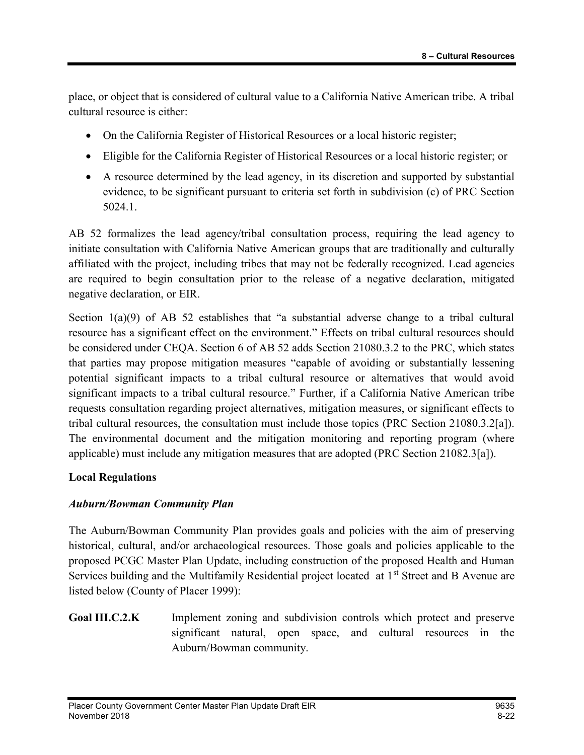place, or object that is considered of cultural value to a California Native American tribe. A tribal cultural resource is either:

- On the California Register of Historical Resources or a local historic register;
- Eligible for the California Register of Historical Resources or a local historic register; or
- A resource determined by the lead agency, in its discretion and supported by substantial evidence, to be significant pursuant to criteria set forth in subdivision (c) of PRC Section 5024.1.

AB 52 formalizes the lead agency/tribal consultation process, requiring the lead agency to initiate consultation with California Native American groups that are traditionally and culturally affiliated with the project, including tribes that may not be federally recognized. Lead agencies are required to begin consultation prior to the release of a negative declaration, mitigated negative declaration, or EIR.

Section 1(a)(9) of AB 52 establishes that "a substantial adverse change to a tribal cultural resource has a significant effect on the environment." Effects on tribal cultural resources should be considered under CEQA. Section 6 of AB 52 adds Section 21080.3.2 to the PRC, which states that parties may propose mitigation measures "capable of avoiding or substantially lessening potential significant impacts to a tribal cultural resource or alternatives that would avoid significant impacts to a tribal cultural resource." Further, if a California Native American tribe requests consultation regarding project alternatives, mitigation measures, or significant effects to tribal cultural resources, the consultation must include those topics (PRC Section 21080.3.2[a]). The environmental document and the mitigation monitoring and reporting program (where applicable) must include any mitigation measures that are adopted (PRC Section 21082.3[a]).

### Local Regulations

### Auburn/Bowman Community Plan

The Auburn/Bowman Community Plan provides goals and policies with the aim of preserving historical, cultural, and/or archaeological resources. Those goals and policies applicable to the proposed PCGC Master Plan Update, including construction of the proposed Health and Human Services building and the Multifamily Residential project located at 1<sup>st</sup> Street and B Avenue are listed below (County of Placer 1999):

Goal III.C.2.K Implement zoning and subdivision controls which protect and preserve significant natural, open space, and cultural resources in the Auburn/Bowman community.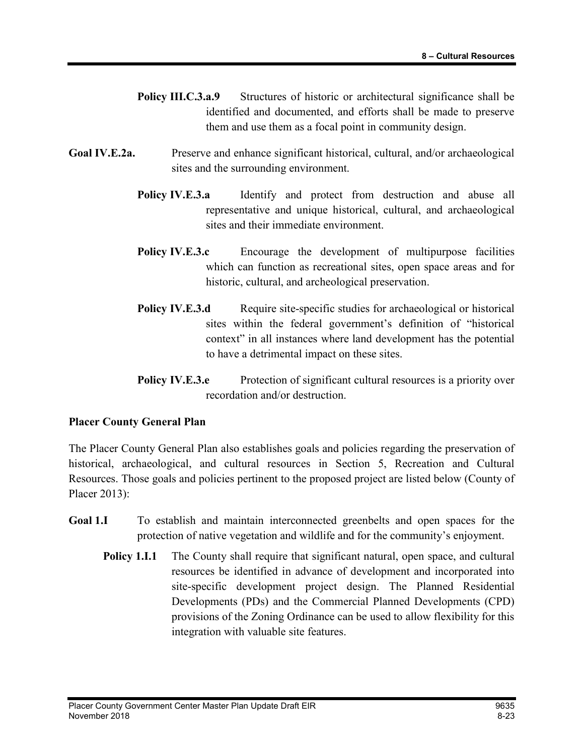- Policy III.C.3.a.9 Structures of historic or architectural significance shall be identified and documented, and efforts shall be made to preserve them and use them as a focal point in community design.
- Goal IV.E.2a. Preserve and enhance significant historical, cultural, and/or archaeological sites and the surrounding environment.
	- **Policy IV.E.3.a** Identify and protect from destruction and abuse all representative and unique historical, cultural, and archaeological sites and their immediate environment.
	- Policy IV.E.3.c Encourage the development of multipurpose facilities which can function as recreational sites, open space areas and for historic, cultural, and archeological preservation.
	- Policy IV.E.3.d Require site-specific studies for archaeological or historical sites within the federal government's definition of "historical context" in all instances where land development has the potential to have a detrimental impact on these sites.
	- **Policy IV.E.3.e** Protection of significant cultural resources is a priority over recordation and/or destruction.

#### Placer County General Plan

The Placer County General Plan also establishes goals and policies regarding the preservation of historical, archaeological, and cultural resources in Section 5, Recreation and Cultural Resources. Those goals and policies pertinent to the proposed project are listed below (County of Placer 2013):

- Goal 1.I To establish and maintain interconnected greenbelts and open spaces for the protection of native vegetation and wildlife and for the community's enjoyment.
	- **Policy 1.1.1** The County shall require that significant natural, open space, and cultural resources be identified in advance of development and incorporated into site-specific development project design. The Planned Residential Developments (PDs) and the Commercial Planned Developments (CPD) provisions of the Zoning Ordinance can be used to allow flexibility for this integration with valuable site features.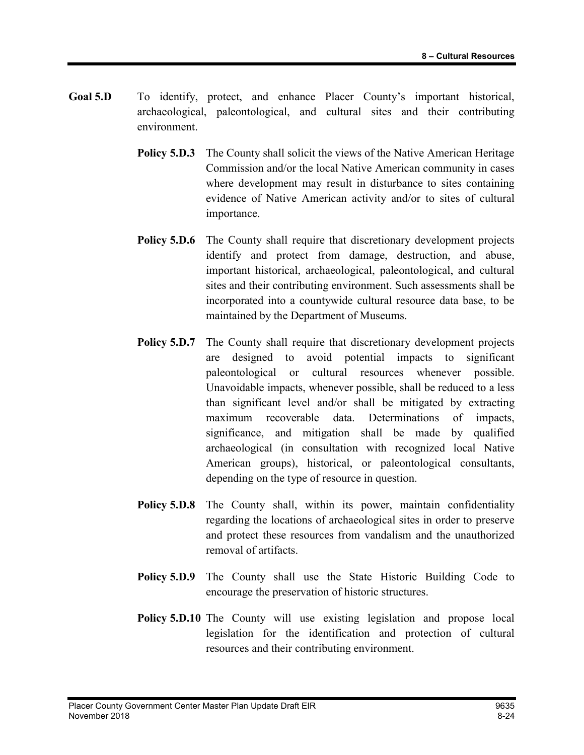- Goal 5.D To identify, protect, and enhance Placer County's important historical, archaeological, paleontological, and cultural sites and their contributing environment.
	- **Policy 5.D.3** The County shall solicit the views of the Native American Heritage Commission and/or the local Native American community in cases where development may result in disturbance to sites containing evidence of Native American activity and/or to sites of cultural importance.
	- **Policy 5.D.6** The County shall require that discretionary development projects identify and protect from damage, destruction, and abuse, important historical, archaeological, paleontological, and cultural sites and their contributing environment. Such assessments shall be incorporated into a countywide cultural resource data base, to be maintained by the Department of Museums.
	- **Policy 5.D.7** The County shall require that discretionary development projects are designed to avoid potential impacts to significant paleontological or cultural resources whenever possible. Unavoidable impacts, whenever possible, shall be reduced to a less than significant level and/or shall be mitigated by extracting maximum recoverable data. Determinations of impacts, significance, and mitigation shall be made by qualified archaeological (in consultation with recognized local Native American groups), historical, or paleontological consultants, depending on the type of resource in question.
	- Policy 5.D.8 The County shall, within its power, maintain confidentiality regarding the locations of archaeological sites in order to preserve and protect these resources from vandalism and the unauthorized removal of artifacts.
	- Policy 5.D.9 The County shall use the State Historic Building Code to encourage the preservation of historic structures.
	- Policy 5.D.10 The County will use existing legislation and propose local legislation for the identification and protection of cultural resources and their contributing environment.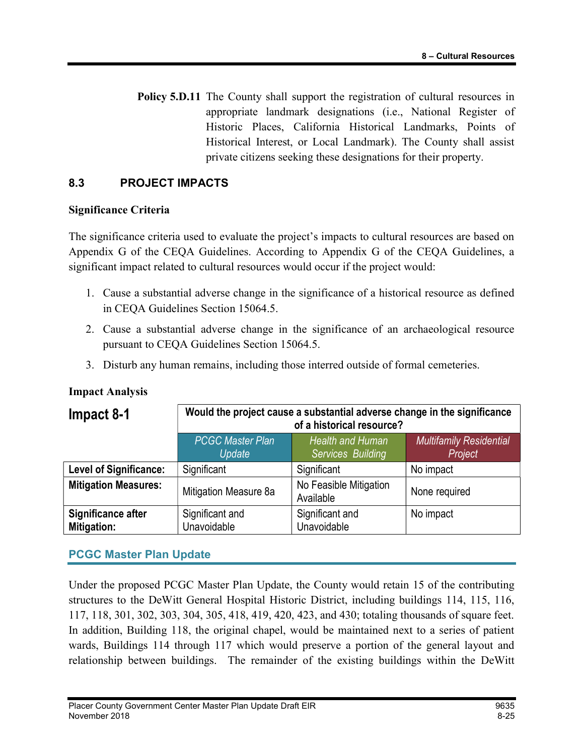Policy 5.D.11 The County shall support the registration of cultural resources in appropriate landmark designations (i.e., National Register of Historic Places, California Historical Landmarks, Points of Historical Interest, or Local Landmark). The County shall assist private citizens seeking these designations for their property.

### 8.3 PROJECT IMPACTS

#### Significance Criteria

The significance criteria used to evaluate the project's impacts to cultural resources are based on Appendix G of the CEQA Guidelines. According to Appendix G of the CEQA Guidelines, a significant impact related to cultural resources would occur if the project would:

- 1. Cause a substantial adverse change in the significance of a historical resource as defined in CEQA Guidelines Section 15064.5.
- 2. Cause a substantial adverse change in the significance of an archaeological resource pursuant to CEQA Guidelines Section 15064.5.
- 3. Disturb any human remains, including those interred outside of formal cemeteries.

| Impact 8-1                               | Would the project cause a substantial adverse change in the significance<br>of a historical resource? |                                              |                                           |
|------------------------------------------|-------------------------------------------------------------------------------------------------------|----------------------------------------------|-------------------------------------------|
|                                          | <b>PCGC Master Plan</b><br>Update                                                                     | <b>Health and Human</b><br>Services Building | <b>Multifamily Residential</b><br>Project |
| <b>Level of Significance:</b>            | Significant                                                                                           | Significant                                  | No impact                                 |
| <b>Mitigation Measures:</b>              | Mitigation Measure 8a                                                                                 | No Feasible Mitigation<br>Available          | None required                             |
| Significance after<br><b>Mitigation:</b> | Significant and<br>Unavoidable                                                                        | Significant and<br>Unavoidable               | No impact                                 |

### Impact Analysis

## PCGC Master Plan Update

Under the proposed PCGC Master Plan Update, the County would retain 15 of the contributing structures to the DeWitt General Hospital Historic District, including buildings 114, 115, 116, 117, 118, 301, 302, 303, 304, 305, 418, 419, 420, 423, and 430; totaling thousands of square feet. In addition, Building 118, the original chapel, would be maintained next to a series of patient wards, Buildings 114 through 117 which would preserve a portion of the general layout and relationship between buildings. The remainder of the existing buildings within the DeWitt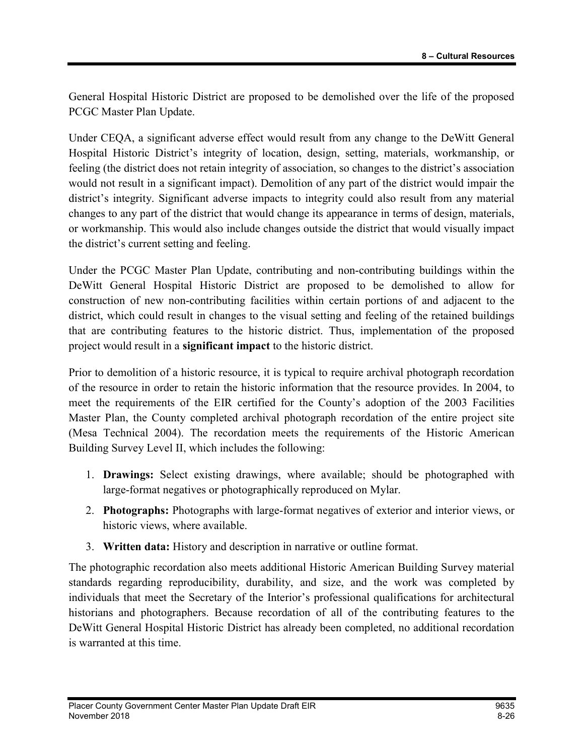General Hospital Historic District are proposed to be demolished over the life of the proposed PCGC Master Plan Update.

Under CEQA, a significant adverse effect would result from any change to the DeWitt General Hospital Historic District's integrity of location, design, setting, materials, workmanship, or feeling (the district does not retain integrity of association, so changes to the district's association would not result in a significant impact). Demolition of any part of the district would impair the district's integrity. Significant adverse impacts to integrity could also result from any material changes to any part of the district that would change its appearance in terms of design, materials, or workmanship. This would also include changes outside the district that would visually impact the district's current setting and feeling.

Under the PCGC Master Plan Update, contributing and non-contributing buildings within the DeWitt General Hospital Historic District are proposed to be demolished to allow for construction of new non-contributing facilities within certain portions of and adjacent to the district, which could result in changes to the visual setting and feeling of the retained buildings that are contributing features to the historic district. Thus, implementation of the proposed project would result in a significant impact to the historic district.

Prior to demolition of a historic resource, it is typical to require archival photograph recordation of the resource in order to retain the historic information that the resource provides. In 2004, to meet the requirements of the EIR certified for the County's adoption of the 2003 Facilities Master Plan, the County completed archival photograph recordation of the entire project site (Mesa Technical 2004). The recordation meets the requirements of the Historic American Building Survey Level II, which includes the following:

- 1. Drawings: Select existing drawings, where available; should be photographed with large-format negatives or photographically reproduced on Mylar.
- 2. Photographs: Photographs with large-format negatives of exterior and interior views, or historic views, where available.
- 3. Written data: History and description in narrative or outline format.

The photographic recordation also meets additional Historic American Building Survey material standards regarding reproducibility, durability, and size, and the work was completed by individuals that meet the Secretary of the Interior's professional qualifications for architectural historians and photographers. Because recordation of all of the contributing features to the DeWitt General Hospital Historic District has already been completed, no additional recordation is warranted at this time.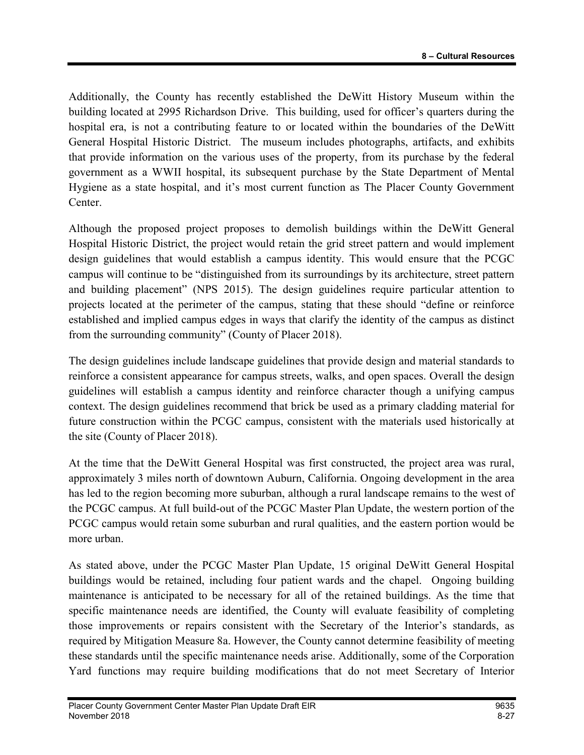Additionally, the County has recently established the DeWitt History Museum within the building located at 2995 Richardson Drive. This building, used for officer's quarters during the hospital era, is not a contributing feature to or located within the boundaries of the DeWitt General Hospital Historic District. The museum includes photographs, artifacts, and exhibits that provide information on the various uses of the property, from its purchase by the federal government as a WWII hospital, its subsequent purchase by the State Department of Mental Hygiene as a state hospital, and it's most current function as The Placer County Government Center.

Although the proposed project proposes to demolish buildings within the DeWitt General Hospital Historic District, the project would retain the grid street pattern and would implement design guidelines that would establish a campus identity. This would ensure that the PCGC campus will continue to be "distinguished from its surroundings by its architecture, street pattern and building placement" (NPS 2015). The design guidelines require particular attention to projects located at the perimeter of the campus, stating that these should "define or reinforce established and implied campus edges in ways that clarify the identity of the campus as distinct from the surrounding community" (County of Placer 2018).

The design guidelines include landscape guidelines that provide design and material standards to reinforce a consistent appearance for campus streets, walks, and open spaces. Overall the design guidelines will establish a campus identity and reinforce character though a unifying campus context. The design guidelines recommend that brick be used as a primary cladding material for future construction within the PCGC campus, consistent with the materials used historically at the site (County of Placer 2018).

At the time that the DeWitt General Hospital was first constructed, the project area was rural, approximately 3 miles north of downtown Auburn, California. Ongoing development in the area has led to the region becoming more suburban, although a rural landscape remains to the west of the PCGC campus. At full build-out of the PCGC Master Plan Update, the western portion of the PCGC campus would retain some suburban and rural qualities, and the eastern portion would be more urban.

As stated above, under the PCGC Master Plan Update, 15 original DeWitt General Hospital buildings would be retained, including four patient wards and the chapel. Ongoing building maintenance is anticipated to be necessary for all of the retained buildings. As the time that specific maintenance needs are identified, the County will evaluate feasibility of completing those improvements or repairs consistent with the Secretary of the Interior's standards, as required by Mitigation Measure 8a. However, the County cannot determine feasibility of meeting these standards until the specific maintenance needs arise. Additionally, some of the Corporation Yard functions may require building modifications that do not meet Secretary of Interior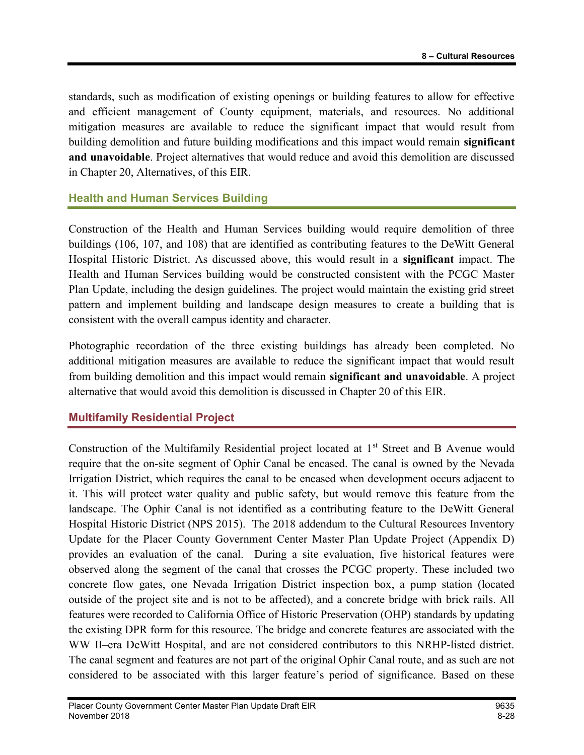standards, such as modification of existing openings or building features to allow for effective and efficient management of County equipment, materials, and resources. No additional mitigation measures are available to reduce the significant impact that would result from building demolition and future building modifications and this impact would remain significant and unavoidable. Project alternatives that would reduce and avoid this demolition are discussed in Chapter 20, Alternatives, of this EIR.

### Health and Human Services Building

Construction of the Health and Human Services building would require demolition of three buildings (106, 107, and 108) that are identified as contributing features to the DeWitt General Hospital Historic District. As discussed above, this would result in a significant impact. The Health and Human Services building would be constructed consistent with the PCGC Master Plan Update, including the design guidelines. The project would maintain the existing grid street pattern and implement building and landscape design measures to create a building that is consistent with the overall campus identity and character.

Photographic recordation of the three existing buildings has already been completed. No additional mitigation measures are available to reduce the significant impact that would result from building demolition and this impact would remain significant and unavoidable. A project alternative that would avoid this demolition is discussed in Chapter 20 of this EIR.

### Multifamily Residential Project

Construction of the Multifamily Residential project located at 1<sup>st</sup> Street and B Avenue would require that the on-site segment of Ophir Canal be encased. The canal is owned by the Nevada Irrigation District, which requires the canal to be encased when development occurs adjacent to it. This will protect water quality and public safety, but would remove this feature from the landscape. The Ophir Canal is not identified as a contributing feature to the DeWitt General Hospital Historic District (NPS 2015). The 2018 addendum to the Cultural Resources Inventory Update for the Placer County Government Center Master Plan Update Project (Appendix D) provides an evaluation of the canal. During a site evaluation, five historical features were observed along the segment of the canal that crosses the PCGC property. These included two concrete flow gates, one Nevada Irrigation District inspection box, a pump station (located outside of the project site and is not to be affected), and a concrete bridge with brick rails. All features were recorded to California Office of Historic Preservation (OHP) standards by updating the existing DPR form for this resource. The bridge and concrete features are associated with the WW II–era DeWitt Hospital, and are not considered contributors to this NRHP-listed district. The canal segment and features are not part of the original Ophir Canal route, and as such are not considered to be associated with this larger feature's period of significance. Based on these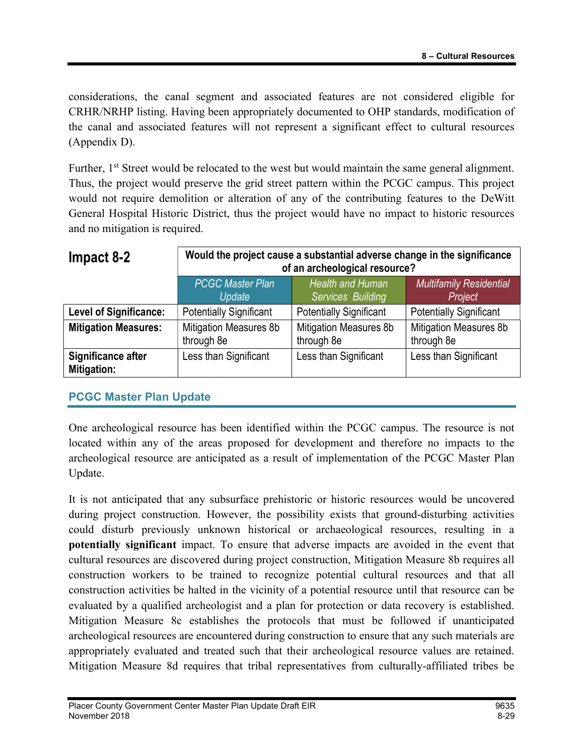considerations, the canal segment and associated features are not considered eligible for CRHR/NRHP listing. Having been appropriately documented to OHP standards, modification of the canal and associated features will not represent a significant effect to cultural resources (Appendix D).

Further, 1<sup>st</sup> Street would be relocated to the west but would maintain the same general alignment. Thus, the project would preserve the grid street pattern within the PCGC campus. This project would not require demolition or alteration of any of the contributing features to the DeWitt General Hospital Historic District, thus the project would have no impact to historic resources and no mitigation is required.

| Impact 8-2                        | Would the project cause a substantial adverse change in the significance<br>of an archeological resource? |                                              |                                             |
|-----------------------------------|-----------------------------------------------------------------------------------------------------------|----------------------------------------------|---------------------------------------------|
|                                   | <b>PCGC Master Plan</b><br><b>Update</b>                                                                  | <b>Health and Human</b><br>Services Building | <b>Multifamily Residential</b><br>Project   |
| <b>Level of Significance:</b>     | <b>Potentially Significant</b>                                                                            | <b>Potentially Significant</b>               | <b>Potentially Significant</b>              |
| <b>Mitigation Measures:</b>       | Mitigation Measures 8b<br>through 8e                                                                      | <b>Mitigation Measures 8b</b><br>through 8e  | <b>Mitigation Measures 8b</b><br>through 8e |
| Significance after<br>Mitigation: | Less than Significant                                                                                     | Less than Significant                        | Less than Significant                       |

## PCGC Master Plan Update

One archeological resource has been identified within the PCGC campus. The resource is not located within any of the areas proposed for development and therefore no impacts to the archeological resource are anticipated as a result of implementation of the PCGC Master Plan Update.

It is not anticipated that any subsurface prehistoric or historic resources would be uncovered during project construction. However, the possibility exists that ground-disturbing activities could disturb previously unknown historical or archaeological resources, resulting in a potentially significant impact. To ensure that adverse impacts are avoided in the event that cultural resources are discovered during project construction, Mitigation Measure 8b requires all construction workers to be trained to recognize potential cultural resources and that all construction activities be halted in the vicinity of a potential resource until that resource can be evaluated by a qualified archeologist and a plan for protection or data recovery is established. Mitigation Measure 8c establishes the protocols that must be followed if unanticipated archeological resources are encountered during construction to ensure that any such materials are appropriately evaluated and treated such that their archeological resource values are retained. Mitigation Measure 8d requires that tribal representatives from culturally-affiliated tribes be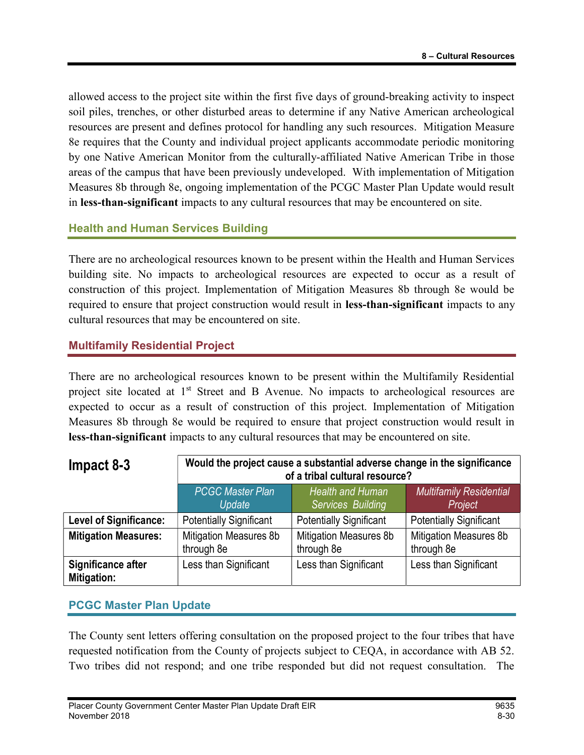allowed access to the project site within the first five days of ground-breaking activity to inspect soil piles, trenches, or other disturbed areas to determine if any Native American archeological resources are present and defines protocol for handling any such resources. Mitigation Measure 8e requires that the County and individual project applicants accommodate periodic monitoring by one Native American Monitor from the culturally-affiliated Native American Tribe in those areas of the campus that have been previously undeveloped. With implementation of Mitigation Measures 8b through 8e, ongoing implementation of the PCGC Master Plan Update would result in less-than-significant impacts to any cultural resources that may be encountered on site.

### Health and Human Services Building

There are no archeological resources known to be present within the Health and Human Services building site. No impacts to archeological resources are expected to occur as a result of construction of this project. Implementation of Mitigation Measures 8b through 8e would be required to ensure that project construction would result in less-than-significant impacts to any cultural resources that may be encountered on site.

## Multifamily Residential Project

There are no archeological resources known to be present within the Multifamily Residential project site located at 1<sup>st</sup> Street and B Avenue. No impacts to archeological resources are expected to occur as a result of construction of this project. Implementation of Mitigation Measures 8b through 8e would be required to ensure that project construction would result in less-than-significant impacts to any cultural resources that may be encountered on site.

| $Im$ pact 8-3                            | Would the project cause a substantial adverse change in the significance<br>of a tribal cultural resource? |                                              |                                           |
|------------------------------------------|------------------------------------------------------------------------------------------------------------|----------------------------------------------|-------------------------------------------|
|                                          | <b>PCGC Master Plan</b><br>Update                                                                          | <b>Health and Human</b><br>Services Building | <b>Multifamily Residential</b><br>Project |
| <b>Level of Significance:</b>            | <b>Potentially Significant</b>                                                                             | <b>Potentially Significant</b>               | <b>Potentially Significant</b>            |
| <b>Mitigation Measures:</b>              | Mitigation Measures 8b<br>through 8e                                                                       | <b>Mitigation Measures 8b</b><br>through 8e  | Mitigation Measures 8b<br>through 8e      |
| Significance after<br><b>Mitigation:</b> | Less than Significant                                                                                      | Less than Significant                        | Less than Significant                     |

### PCGC Master Plan Update

The County sent letters offering consultation on the proposed project to the four tribes that have requested notification from the County of projects subject to CEQA, in accordance with AB 52. Two tribes did not respond; and one tribe responded but did not request consultation. The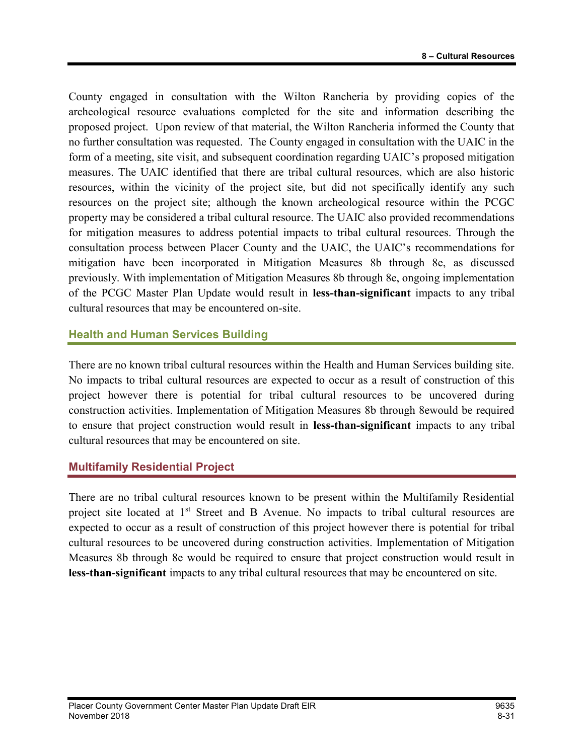County engaged in consultation with the Wilton Rancheria by providing copies of the archeological resource evaluations completed for the site and information describing the proposed project. Upon review of that material, the Wilton Rancheria informed the County that no further consultation was requested. The County engaged in consultation with the UAIC in the form of a meeting, site visit, and subsequent coordination regarding UAIC's proposed mitigation measures. The UAIC identified that there are tribal cultural resources, which are also historic resources, within the vicinity of the project site, but did not specifically identify any such resources on the project site; although the known archeological resource within the PCGC property may be considered a tribal cultural resource. The UAIC also provided recommendations for mitigation measures to address potential impacts to tribal cultural resources. Through the consultation process between Placer County and the UAIC, the UAIC's recommendations for mitigation have been incorporated in Mitigation Measures 8b through 8e, as discussed previously. With implementation of Mitigation Measures 8b through 8e, ongoing implementation of the PCGC Master Plan Update would result in less-than-significant impacts to any tribal cultural resources that may be encountered on-site.

### Health and Human Services Building

There are no known tribal cultural resources within the Health and Human Services building site. No impacts to tribal cultural resources are expected to occur as a result of construction of this project however there is potential for tribal cultural resources to be uncovered during construction activities. Implementation of Mitigation Measures 8b through 8ewould be required to ensure that project construction would result in less-than-significant impacts to any tribal cultural resources that may be encountered on site.

## Multifamily Residential Project

There are no tribal cultural resources known to be present within the Multifamily Residential project site located at  $1<sup>st</sup>$  Street and B Avenue. No impacts to tribal cultural resources are expected to occur as a result of construction of this project however there is potential for tribal cultural resources to be uncovered during construction activities. Implementation of Mitigation Measures 8b through 8e would be required to ensure that project construction would result in less-than-significant impacts to any tribal cultural resources that may be encountered on site.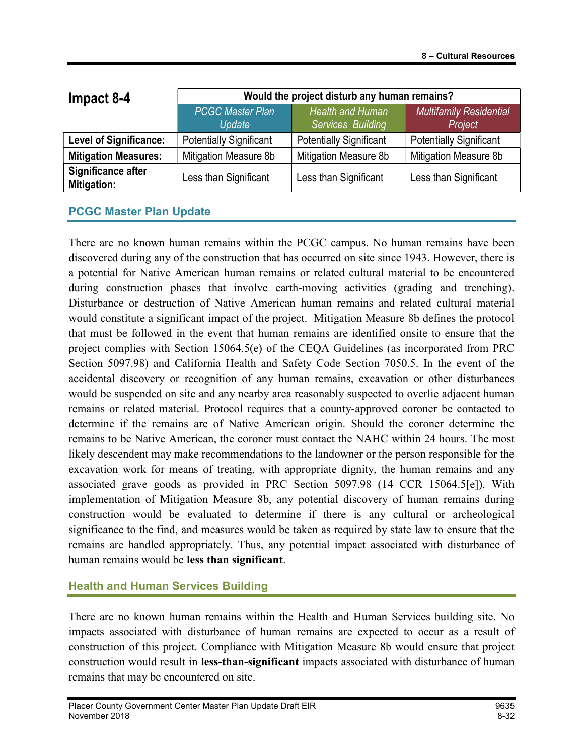| Impact 8-4                        | Would the project disturb any human remains? |                                              |                                           |
|-----------------------------------|----------------------------------------------|----------------------------------------------|-------------------------------------------|
|                                   | <b>PCGC Master Plan</b><br>Update            | <b>Health and Human</b><br>Services Building | <b>Multifamily Residential</b><br>Project |
| <b>Level of Significance:</b>     | <b>Potentially Significant</b>               | <b>Potentially Significant</b>               | <b>Potentially Significant</b>            |
| <b>Mitigation Measures:</b>       | Mitigation Measure 8b                        | Mitigation Measure 8b                        | Mitigation Measure 8b                     |
| Significance after<br>Mitigation: | Less than Significant                        | Less than Significant                        | Less than Significant                     |

### PCGC Master Plan Update

There are no known human remains within the PCGC campus. No human remains have been discovered during any of the construction that has occurred on site since 1943. However, there is a potential for Native American human remains or related cultural material to be encountered during construction phases that involve earth-moving activities (grading and trenching). Disturbance or destruction of Native American human remains and related cultural material would constitute a significant impact of the project. Mitigation Measure 8b defines the protocol that must be followed in the event that human remains are identified onsite to ensure that the project complies with Section 15064.5(e) of the CEQA Guidelines (as incorporated from PRC Section 5097.98) and California Health and Safety Code Section 7050.5. In the event of the accidental discovery or recognition of any human remains, excavation or other disturbances would be suspended on site and any nearby area reasonably suspected to overlie adjacent human remains or related material. Protocol requires that a county-approved coroner be contacted to determine if the remains are of Native American origin. Should the coroner determine the remains to be Native American, the coroner must contact the NAHC within 24 hours. The most likely descendent may make recommendations to the landowner or the person responsible for the excavation work for means of treating, with appropriate dignity, the human remains and any associated grave goods as provided in PRC Section 5097.98 (14 CCR 15064.5[e]). With implementation of Mitigation Measure 8b, any potential discovery of human remains during construction would be evaluated to determine if there is any cultural or archeological significance to the find, and measures would be taken as required by state law to ensure that the remains are handled appropriately. Thus, any potential impact associated with disturbance of human remains would be less than significant.

### Health and Human Services Building

There are no known human remains within the Health and Human Services building site. No impacts associated with disturbance of human remains are expected to occur as a result of construction of this project. Compliance with Mitigation Measure 8b would ensure that project construction would result in less-than-significant impacts associated with disturbance of human remains that may be encountered on site.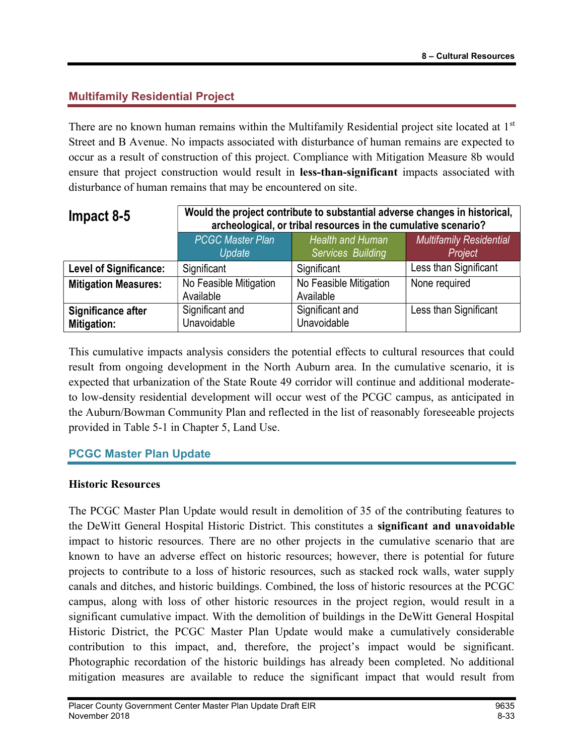## Multifamily Residential Project

There are no known human remains within the Multifamily Residential project site located at 1<sup>st</sup> Street and B Avenue. No impacts associated with disturbance of human remains are expected to occur as a result of construction of this project. Compliance with Mitigation Measure 8b would ensure that project construction would result in less-than-significant impacts associated with disturbance of human remains that may be encountered on site.

| Impact 8-5                        | Would the project contribute to substantial adverse changes in historical,<br>archeological, or tribal resources in the cumulative scenario? |                                              |                                           |
|-----------------------------------|----------------------------------------------------------------------------------------------------------------------------------------------|----------------------------------------------|-------------------------------------------|
|                                   | <b>PCGC Master Plan</b><br>Update                                                                                                            | <b>Health and Human</b><br>Services Building | <b>Multifamily Residential</b><br>Project |
| <b>Level of Significance:</b>     | Significant                                                                                                                                  | Significant                                  | Less than Significant                     |
| <b>Mitigation Measures:</b>       | No Feasible Mitigation<br>Available                                                                                                          | No Feasible Mitigation<br>Available          | None required                             |
| Significance after<br>Mitigation: | Significant and<br>Unavoidable                                                                                                               | Significant and<br>Unavoidable               | Less than Significant                     |

This cumulative impacts analysis considers the potential effects to cultural resources that could result from ongoing development in the North Auburn area. In the cumulative scenario, it is expected that urbanization of the State Route 49 corridor will continue and additional moderateto low-density residential development will occur west of the PCGC campus, as anticipated in the Auburn/Bowman Community Plan and reflected in the list of reasonably foreseeable projects provided in Table 5-1 in Chapter 5, Land Use.

### PCGC Master Plan Update

#### Historic Resources

The PCGC Master Plan Update would result in demolition of 35 of the contributing features to the DeWitt General Hospital Historic District. This constitutes a significant and unavoidable impact to historic resources. There are no other projects in the cumulative scenario that are known to have an adverse effect on historic resources; however, there is potential for future projects to contribute to a loss of historic resources, such as stacked rock walls, water supply canals and ditches, and historic buildings. Combined, the loss of historic resources at the PCGC campus, along with loss of other historic resources in the project region, would result in a significant cumulative impact. With the demolition of buildings in the DeWitt General Hospital Historic District, the PCGC Master Plan Update would make a cumulatively considerable contribution to this impact, and, therefore, the project's impact would be significant. Photographic recordation of the historic buildings has already been completed. No additional mitigation measures are available to reduce the significant impact that would result from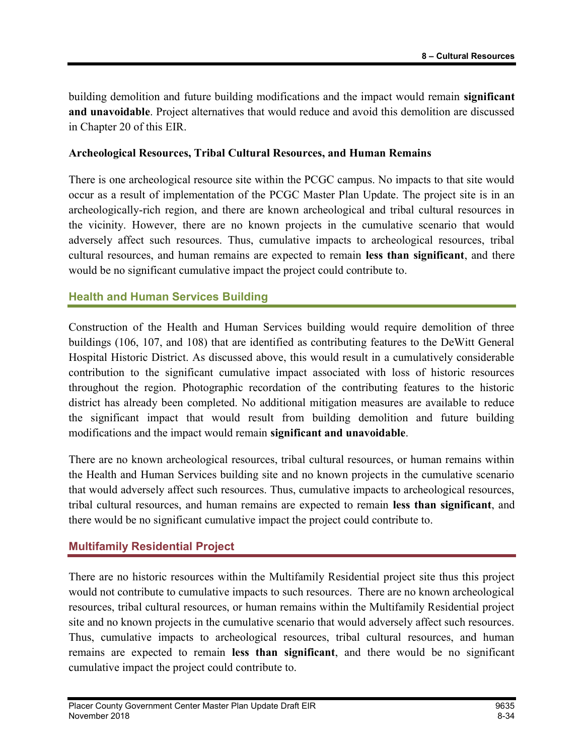building demolition and future building modifications and the impact would remain **significant** and unavoidable. Project alternatives that would reduce and avoid this demolition are discussed in Chapter 20 of this EIR.

#### Archeological Resources, Tribal Cultural Resources, and Human Remains

There is one archeological resource site within the PCGC campus. No impacts to that site would occur as a result of implementation of the PCGC Master Plan Update. The project site is in an archeologically-rich region, and there are known archeological and tribal cultural resources in the vicinity. However, there are no known projects in the cumulative scenario that would adversely affect such resources. Thus, cumulative impacts to archeological resources, tribal cultural resources, and human remains are expected to remain less than significant, and there would be no significant cumulative impact the project could contribute to.

#### Health and Human Services Building

Construction of the Health and Human Services building would require demolition of three buildings (106, 107, and 108) that are identified as contributing features to the DeWitt General Hospital Historic District. As discussed above, this would result in a cumulatively considerable contribution to the significant cumulative impact associated with loss of historic resources throughout the region. Photographic recordation of the contributing features to the historic district has already been completed. No additional mitigation measures are available to reduce the significant impact that would result from building demolition and future building modifications and the impact would remain significant and unavoidable.

There are no known archeological resources, tribal cultural resources, or human remains within the Health and Human Services building site and no known projects in the cumulative scenario that would adversely affect such resources. Thus, cumulative impacts to archeological resources, tribal cultural resources, and human remains are expected to remain less than significant, and there would be no significant cumulative impact the project could contribute to.

### Multifamily Residential Project

There are no historic resources within the Multifamily Residential project site thus this project would not contribute to cumulative impacts to such resources. There are no known archeological resources, tribal cultural resources, or human remains within the Multifamily Residential project site and no known projects in the cumulative scenario that would adversely affect such resources. Thus, cumulative impacts to archeological resources, tribal cultural resources, and human remains are expected to remain less than significant, and there would be no significant cumulative impact the project could contribute to.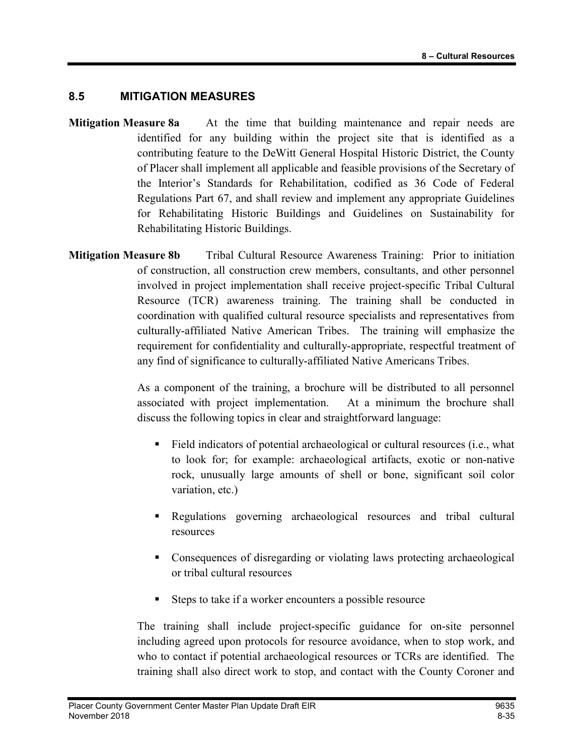### 8.5 MITIGATION MEASURES

- **Mitigation Measure 8a** At the time that building maintenance and repair needs are identified for any building within the project site that is identified as a contributing feature to the DeWitt General Hospital Historic District, the County of Placer shall implement all applicable and feasible provisions of the Secretary of the Interior's Standards for Rehabilitation, codified as 36 Code of Federal Regulations Part 67, and shall review and implement any appropriate Guidelines for Rehabilitating Historic Buildings and Guidelines on Sustainability for Rehabilitating Historic Buildings.
- Mitigation Measure 8b Tribal Cultural Resource Awareness Training: Prior to initiation of construction, all construction crew members, consultants, and other personnel involved in project implementation shall receive project-specific Tribal Cultural Resource (TCR) awareness training. The training shall be conducted in coordination with qualified cultural resource specialists and representatives from culturally-affiliated Native American Tribes. The training will emphasize the requirement for confidentiality and culturally-appropriate, respectful treatment of any find of significance to culturally-affiliated Native Americans Tribes.

 As a component of the training, a brochure will be distributed to all personnel associated with project implementation. At a minimum the brochure shall discuss the following topics in clear and straightforward language:

- Field indicators of potential archaeological or cultural resources (i.e., what to look for; for example: archaeological artifacts, exotic or non-native rock, unusually large amounts of shell or bone, significant soil color variation, etc.)
- Regulations governing archaeological resources and tribal cultural resources
- Consequences of disregarding or violating laws protecting archaeological or tribal cultural resources
- Steps to take if a worker encounters a possible resource

 The training shall include project-specific guidance for on-site personnel including agreed upon protocols for resource avoidance, when to stop work, and who to contact if potential archaeological resources or TCRs are identified. The training shall also direct work to stop, and contact with the County Coroner and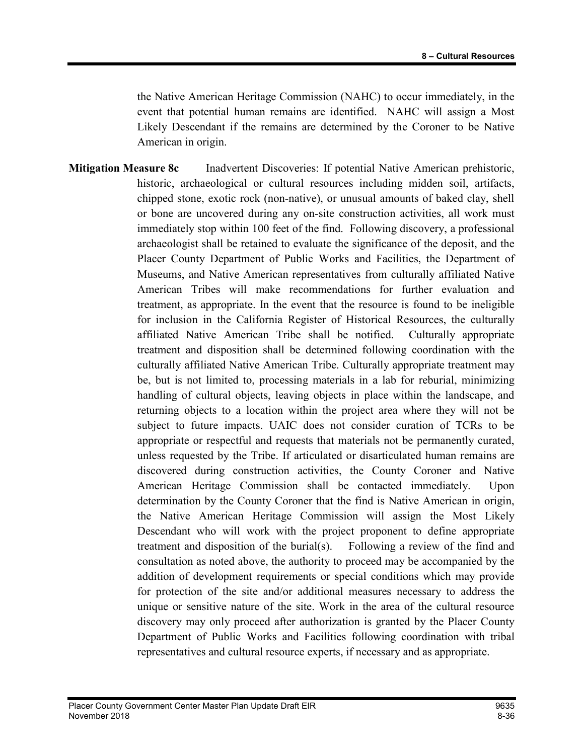the Native American Heritage Commission (NAHC) to occur immediately, in the event that potential human remains are identified. NAHC will assign a Most Likely Descendant if the remains are determined by the Coroner to be Native American in origin.

**Mitigation Measure 8c** Inadvertent Discoveries: If potential Native American prehistoric, historic, archaeological or cultural resources including midden soil, artifacts, chipped stone, exotic rock (non-native), or unusual amounts of baked clay, shell or bone are uncovered during any on-site construction activities, all work must immediately stop within 100 feet of the find. Following discovery, a professional archaeologist shall be retained to evaluate the significance of the deposit, and the Placer County Department of Public Works and Facilities, the Department of Museums, and Native American representatives from culturally affiliated Native American Tribes will make recommendations for further evaluation and treatment, as appropriate. In the event that the resource is found to be ineligible for inclusion in the California Register of Historical Resources, the culturally affiliated Native American Tribe shall be notified. Culturally appropriate treatment and disposition shall be determined following coordination with the culturally affiliated Native American Tribe. Culturally appropriate treatment may be, but is not limited to, processing materials in a lab for reburial, minimizing handling of cultural objects, leaving objects in place within the landscape, and returning objects to a location within the project area where they will not be subject to future impacts. UAIC does not consider curation of TCRs to be appropriate or respectful and requests that materials not be permanently curated, unless requested by the Tribe. If articulated or disarticulated human remains are discovered during construction activities, the County Coroner and Native American Heritage Commission shall be contacted immediately. Upon determination by the County Coroner that the find is Native American in origin, the Native American Heritage Commission will assign the Most Likely Descendant who will work with the project proponent to define appropriate treatment and disposition of the burial(s). Following a review of the find and consultation as noted above, the authority to proceed may be accompanied by the addition of development requirements or special conditions which may provide for protection of the site and/or additional measures necessary to address the unique or sensitive nature of the site. Work in the area of the cultural resource discovery may only proceed after authorization is granted by the Placer County Department of Public Works and Facilities following coordination with tribal representatives and cultural resource experts, if necessary and as appropriate.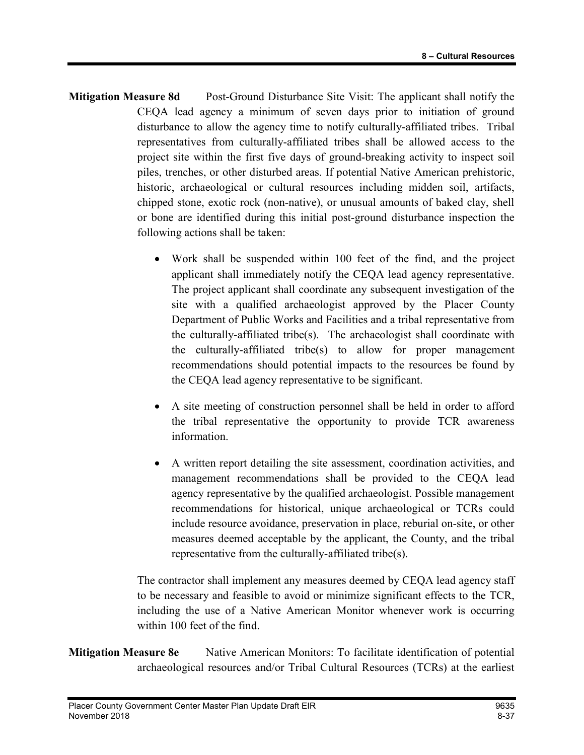- Mitigation Measure 8d Post-Ground Disturbance Site Visit: The applicant shall notify the CEQA lead agency a minimum of seven days prior to initiation of ground disturbance to allow the agency time to notify culturally-affiliated tribes. Tribal representatives from culturally-affiliated tribes shall be allowed access to the project site within the first five days of ground-breaking activity to inspect soil piles, trenches, or other disturbed areas. If potential Native American prehistoric, historic, archaeological or cultural resources including midden soil, artifacts, chipped stone, exotic rock (non-native), or unusual amounts of baked clay, shell or bone are identified during this initial post-ground disturbance inspection the following actions shall be taken:
	- Work shall be suspended within 100 feet of the find, and the project applicant shall immediately notify the CEQA lead agency representative. The project applicant shall coordinate any subsequent investigation of the site with a qualified archaeologist approved by the Placer County Department of Public Works and Facilities and a tribal representative from the culturally-affiliated tribe(s). The archaeologist shall coordinate with the culturally-affiliated tribe(s) to allow for proper management recommendations should potential impacts to the resources be found by the CEQA lead agency representative to be significant.
	- A site meeting of construction personnel shall be held in order to afford the tribal representative the opportunity to provide TCR awareness information.
	- A written report detailing the site assessment, coordination activities, and management recommendations shall be provided to the CEQA lead agency representative by the qualified archaeologist. Possible management recommendations for historical, unique archaeological or TCRs could include resource avoidance, preservation in place, reburial on-site, or other measures deemed acceptable by the applicant, the County, and the tribal representative from the culturally-affiliated tribe(s).

The contractor shall implement any measures deemed by CEQA lead agency staff to be necessary and feasible to avoid or minimize significant effects to the TCR, including the use of a Native American Monitor whenever work is occurring within 100 feet of the find.

Mitigation Measure 8e Native American Monitors: To facilitate identification of potential archaeological resources and/or Tribal Cultural Resources (TCRs) at the earliest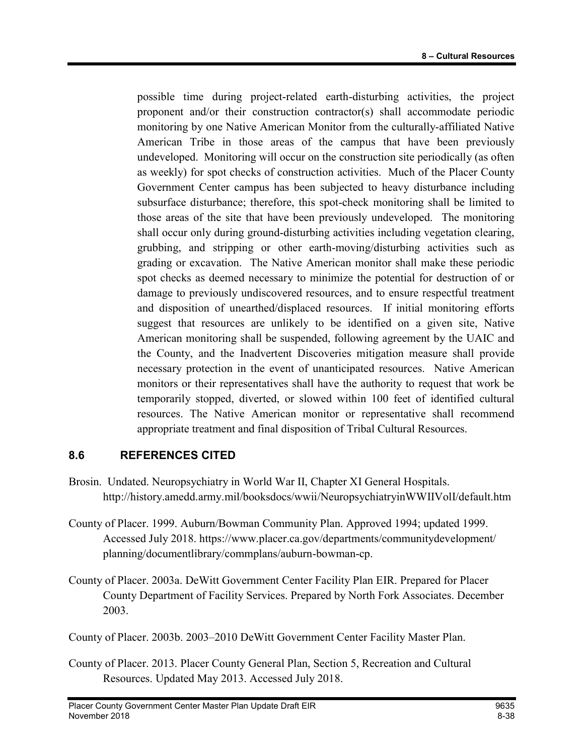possible time during project-related earth-disturbing activities, the project proponent and/or their construction contractor(s) shall accommodate periodic monitoring by one Native American Monitor from the culturally-affiliated Native American Tribe in those areas of the campus that have been previously undeveloped. Monitoring will occur on the construction site periodically (as often as weekly) for spot checks of construction activities. Much of the Placer County Government Center campus has been subjected to heavy disturbance including subsurface disturbance; therefore, this spot-check monitoring shall be limited to those areas of the site that have been previously undeveloped. The monitoring shall occur only during ground-disturbing activities including vegetation clearing, grubbing, and stripping or other earth-moving/disturbing activities such as grading or excavation. The Native American monitor shall make these periodic spot checks as deemed necessary to minimize the potential for destruction of or damage to previously undiscovered resources, and to ensure respectful treatment and disposition of unearthed/displaced resources. If initial monitoring efforts suggest that resources are unlikely to be identified on a given site, Native American monitoring shall be suspended, following agreement by the UAIC and the County, and the Inadvertent Discoveries mitigation measure shall provide necessary protection in the event of unanticipated resources. Native American monitors or their representatives shall have the authority to request that work be temporarily stopped, diverted, or slowed within 100 feet of identified cultural resources. The Native American monitor or representative shall recommend appropriate treatment and final disposition of Tribal Cultural Resources.

### 8.6 REFERENCES CITED

- Brosin. Undated. Neuropsychiatry in World War II, Chapter XI General Hospitals. http://history.amedd.army.mil/booksdocs/wwii/NeuropsychiatryinWWIIVolI/default.htm
- County of Placer. 1999. Auburn/Bowman Community Plan. Approved 1994; updated 1999. Accessed July 2018. https://www.placer.ca.gov/departments/communitydevelopment/ planning/documentlibrary/commplans/auburn-bowman-cp.
- County of Placer. 2003a. DeWitt Government Center Facility Plan EIR. Prepared for Placer County Department of Facility Services. Prepared by North Fork Associates. December 2003.

County of Placer. 2003b. 2003–2010 DeWitt Government Center Facility Master Plan.

County of Placer. 2013. Placer County General Plan, Section 5, Recreation and Cultural Resources. Updated May 2013. Accessed July 2018.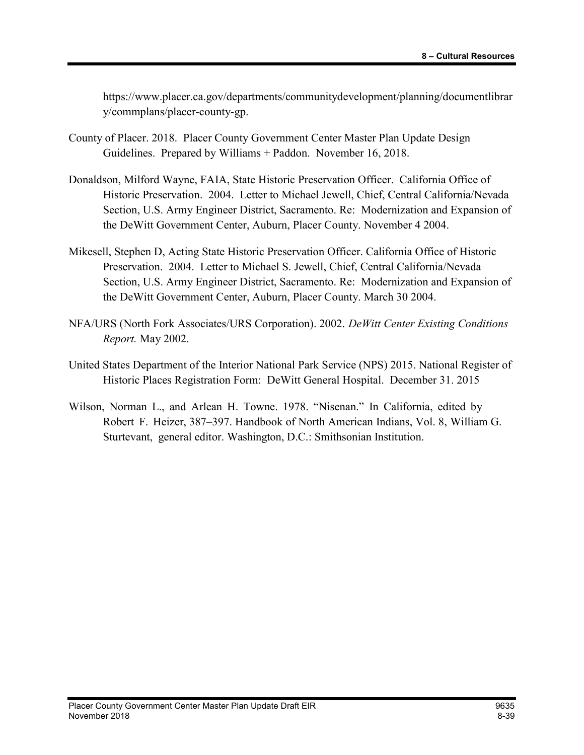https://www.placer.ca.gov/departments/communitydevelopment/planning/documentlibrar y/commplans/placer-county-gp.

- County of Placer. 2018. Placer County Government Center Master Plan Update Design Guidelines. Prepared by Williams + Paddon. November 16, 2018.
- Donaldson, Milford Wayne, FAIA, State Historic Preservation Officer. California Office of Historic Preservation. 2004. Letter to Michael Jewell, Chief, Central California/Nevada Section, U.S. Army Engineer District, Sacramento. Re: Modernization and Expansion of the DeWitt Government Center, Auburn, Placer County. November 4 2004.
- Mikesell, Stephen D, Acting State Historic Preservation Officer. California Office of Historic Preservation. 2004. Letter to Michael S. Jewell, Chief, Central California/Nevada Section, U.S. Army Engineer District, Sacramento. Re: Modernization and Expansion of the DeWitt Government Center, Auburn, Placer County. March 30 2004.
- NFA/URS (North Fork Associates/URS Corporation). 2002. DeWitt Center Existing Conditions Report. May 2002.
- United States Department of the Interior National Park Service (NPS) 2015. National Register of Historic Places Registration Form: DeWitt General Hospital. December 31. 2015
- Wilson, Norman L., and Arlean H. Towne. 1978. "Nisenan." In California, edited by Robert F. Heizer, 387–397. Handbook of North American Indians, Vol. 8, William G. Sturtevant, general editor. Washington, D.C.: Smithsonian Institution.